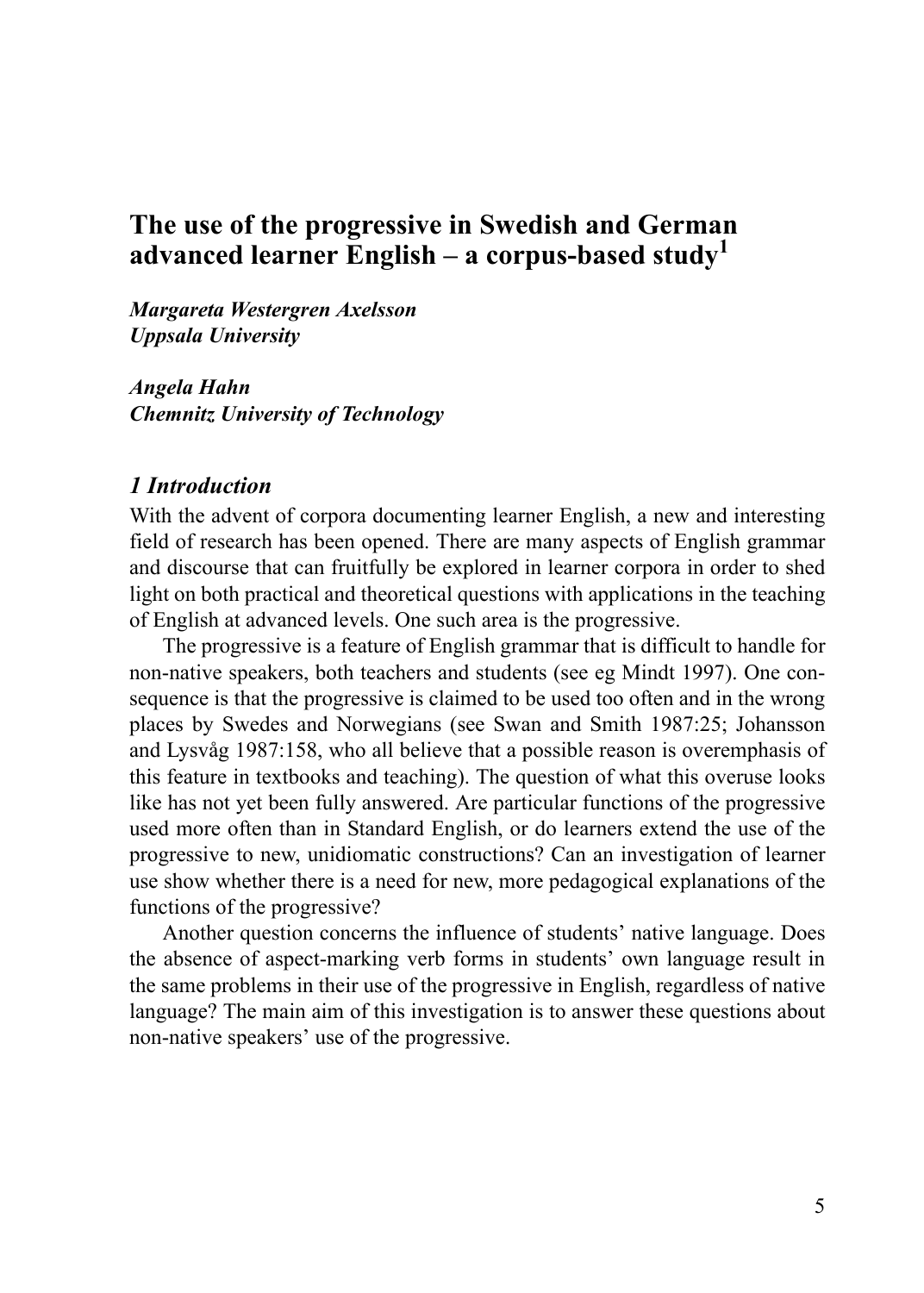# **The use of the progressive in Swedish and German advanced learner English – a corpus-based study<sup>1</sup>**

*Margareta Westergren Axelsson Uppsala University*

*Angela Hahn Chemnitz University of Technology*

#### *1 Introduction*

With the advent of corpora documenting learner English, a new and interesting field of research has been opened. There are many aspects of English grammar and discourse that can fruitfully be explored in learner corpora in order to shed light on both practical and theoretical questions with applications in the teaching of English at advanced levels. One such area is the progressive.

The progressive is a feature of English grammar that is difficult to handle for non-native speakers, both teachers and students (see eg Mindt 1997). One consequence is that the progressive is claimed to be used too often and in the wrong places by Swedes and Norwegians (see Swan and Smith 1987:25; Johansson and Lysvåg 1987:158, who all believe that a possible reason is overemphasis of this feature in textbooks and teaching). The question of what this overuse looks like has not yet been fully answered. Are particular functions of the progressive used more often than in Standard English, or do learners extend the use of the progressive to new, unidiomatic constructions? Can an investigation of learner use show whether there is a need for new, more pedagogical explanations of the functions of the progressive?

Another question concerns the influence of students' native language. Does the absence of aspect-marking verb forms in students' own language result in the same problems in their use of the progressive in English, regardless of native language? The main aim of this investigation is to answer these questions about non-native speakers' use of the progressive.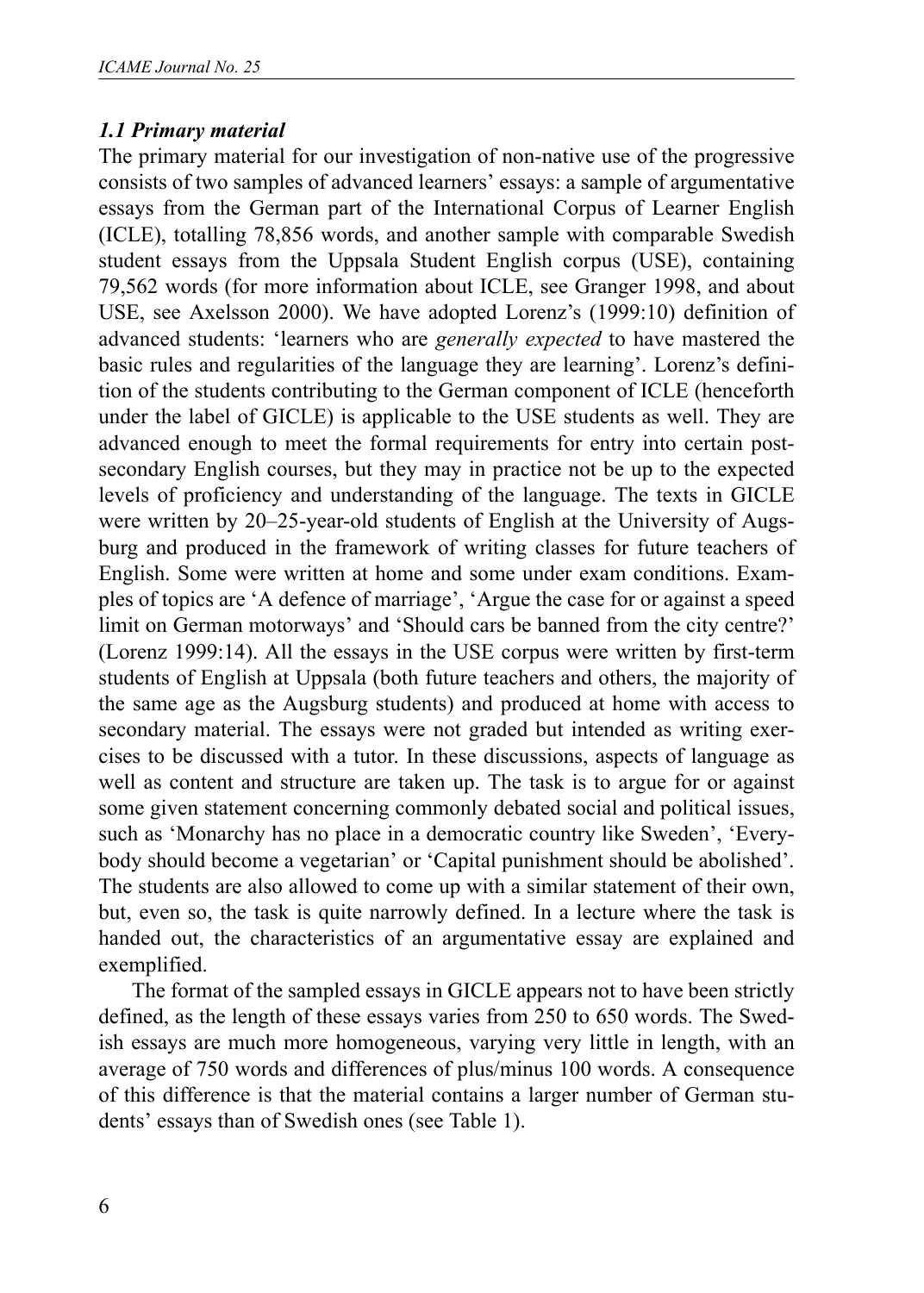#### *1.1 Primary material*

The primary material for our investigation of non-native use of the progressive consists of two samples of advanced learners' essays: a sample of argumentative essays from the German part of the International Corpus of Learner English (ICLE), totalling 78,856 words, and another sample with comparable Swedish student essays from the Uppsala Student English corpus (USE), containing 79,562 words (for more information about ICLE, see Granger 1998, and about USE, see Axelsson 2000). We have adopted Lorenz's (1999:10) definition of advanced students: 'learners who are *generally expected* to have mastered the basic rules and regularities of the language they are learning'. Lorenz's definition of the students contributing to the German component of ICLE (henceforth under the label of GICLE) is applicable to the USE students as well. They are advanced enough to meet the formal requirements for entry into certain postsecondary English courses, but they may in practice not be up to the expected levels of proficiency and understanding of the language. The texts in GICLE were written by 20–25-year-old students of English at the University of Augsburg and produced in the framework of writing classes for future teachers of English. Some were written at home and some under exam conditions. Examples of topics are 'A defence of marriage', 'Argue the case for or against a speed limit on German motorways' and 'Should cars be banned from the city centre?' (Lorenz 1999:14). All the essays in the USE corpus were written by first-term students of English at Uppsala (both future teachers and others, the majority of the same age as the Augsburg students) and produced at home with access to secondary material. The essays were not graded but intended as writing exercises to be discussed with a tutor. In these discussions, aspects of language as well as content and structure are taken up. The task is to argue for or against some given statement concerning commonly debated social and political issues, such as 'Monarchy has no place in a democratic country like Sweden', 'Everybody should become a vegetarian' or 'Capital punishment should be abolished'. The students are also allowed to come up with a similar statement of their own, but, even so, the task is quite narrowly defined. In a lecture where the task is handed out, the characteristics of an argumentative essay are explained and exemplified.

The format of the sampled essays in GICLE appears not to have been strictly defined, as the length of these essays varies from 250 to 650 words. The Swedish essays are much more homogeneous, varying very little in length, with an average of 750 words and differences of plus/minus 100 words. A consequence of this difference is that the material contains a larger number of German students' essays than of Swedish ones (see Table 1).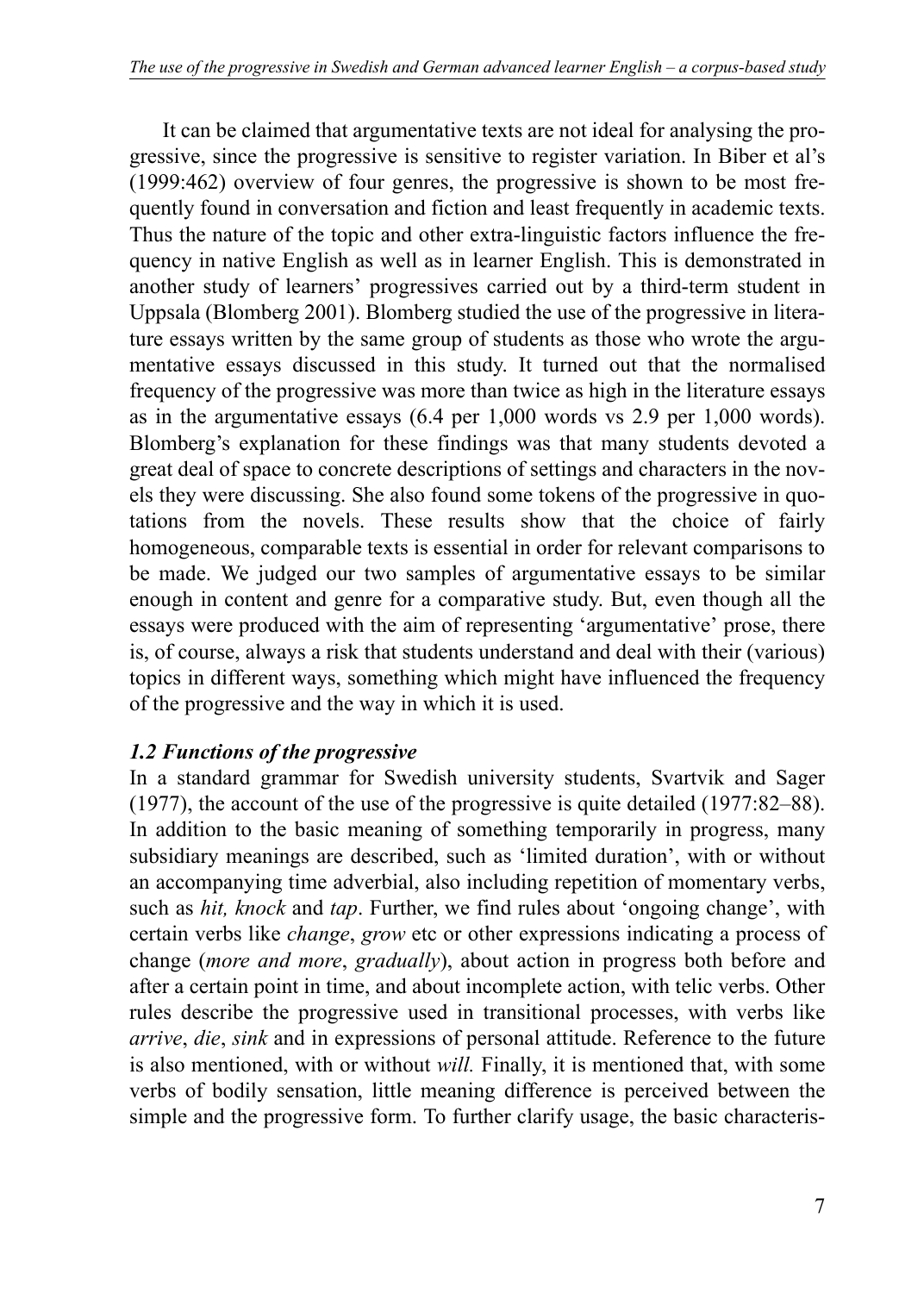It can be claimed that argumentative texts are not ideal for analysing the progressive, since the progressive is sensitive to register variation. In Biber et al's (1999:462) overview of four genres, the progressive is shown to be most frequently found in conversation and fiction and least frequently in academic texts. Thus the nature of the topic and other extra-linguistic factors influence the frequency in native English as well as in learner English. This is demonstrated in another study of learners' progressives carried out by a third-term student in Uppsala (Blomberg 2001). Blomberg studied the use of the progressive in literature essays written by the same group of students as those who wrote the argumentative essays discussed in this study. It turned out that the normalised frequency of the progressive was more than twice as high in the literature essays as in the argumentative essays (6.4 per 1,000 words vs 2.9 per 1,000 words). Blomberg's explanation for these findings was that many students devoted a great deal of space to concrete descriptions of settings and characters in the novels they were discussing. She also found some tokens of the progressive in quotations from the novels. These results show that the choice of fairly homogeneous, comparable texts is essential in order for relevant comparisons to be made. We judged our two samples of argumentative essays to be similar enough in content and genre for a comparative study. But, even though all the essays were produced with the aim of representing 'argumentative' prose, there is, of course, always a risk that students understand and deal with their (various) topics in different ways, something which might have influenced the frequency of the progressive and the way in which it is used.

### *1.2 Functions of the progressive*

In a standard grammar for Swedish university students, Svartvik and Sager (1977), the account of the use of the progressive is quite detailed (1977:82–88). In addition to the basic meaning of something temporarily in progress, many subsidiary meanings are described, such as 'limited duration', with or without an accompanying time adverbial, also including repetition of momentary verbs, such as *hit, knock* and *tap*. Further, we find rules about 'ongoing change', with certain verbs like *change*, *grow* etc or other expressions indicating a process of change (*more and more*, *gradually*), about action in progress both before and after a certain point in time, and about incomplete action, with telic verbs. Other rules describe the progressive used in transitional processes, with verbs like *arrive*, *die*, *sink* and in expressions of personal attitude. Reference to the future is also mentioned, with or without *will.* Finally, it is mentioned that, with some verbs of bodily sensation, little meaning difference is perceived between the simple and the progressive form. To further clarify usage, the basic characteris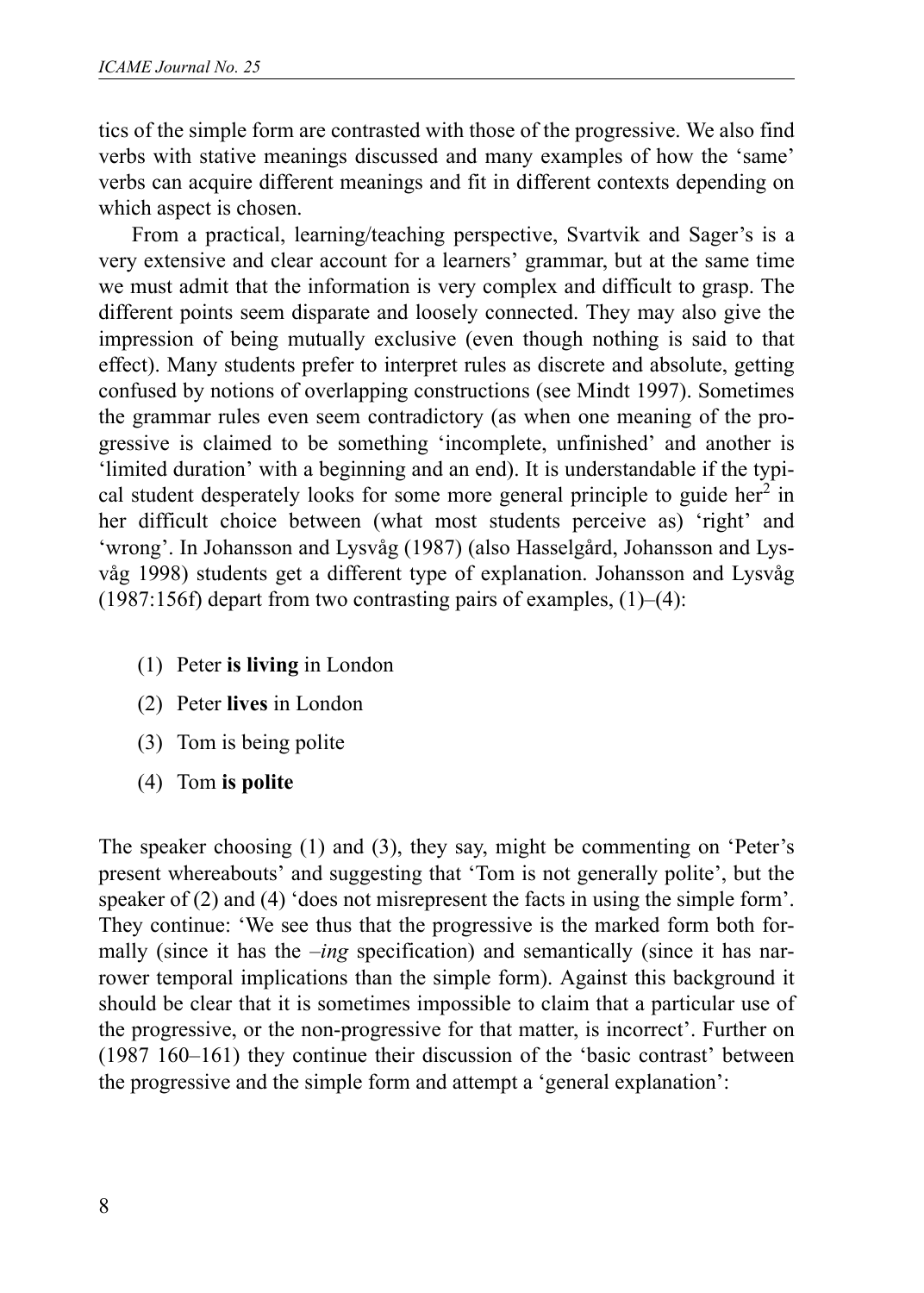tics of the simple form are contrasted with those of the progressive. We also find verbs with stative meanings discussed and many examples of how the 'same' verbs can acquire different meanings and fit in different contexts depending on which aspect is chosen.

From a practical, learning/teaching perspective, Svartvik and Sager's is a very extensive and clear account for a learners' grammar, but at the same time we must admit that the information is very complex and difficult to grasp. The different points seem disparate and loosely connected. They may also give the impression of being mutually exclusive (even though nothing is said to that effect). Many students prefer to interpret rules as discrete and absolute, getting confused by notions of overlapping constructions (see Mindt 1997). Sometimes the grammar rules even seem contradictory (as when one meaning of the progressive is claimed to be something 'incomplete, unfinished' and another is 'limited duration' with a beginning and an end). It is understandable if the typical student desperately looks for some more general principle to guide her<sup>2</sup> in her difficult choice between (what most students perceive as) 'right' and 'wrong'. In Johansson and Lysvåg (1987) (also Hasselgård, Johansson and Lysvåg 1998) students get a different type of explanation. Johansson and Lysvåg  $(1987:156f)$  depart from two contrasting pairs of examples,  $(1)$ – $(4)$ :

- (1) Peter **is living** in London
- (2) Peter **lives** in London
- (3) Tom is being polite
- (4) Tom **is polite**

The speaker choosing (1) and (3), they say, might be commenting on 'Peter's present whereabouts' and suggesting that 'Tom is not generally polite', but the speaker of (2) and (4) 'does not misrepresent the facts in using the simple form'. They continue: 'We see thus that the progressive is the marked form both formally (since it has the *-ing* specification) and semantically (since it has narrower temporal implications than the simple form). Against this background it should be clear that it is sometimes impossible to claim that a particular use of the progressive, or the non-progressive for that matter, is incorrect'. Further on (1987 160–161) they continue their discussion of the 'basic contrast' between the progressive and the simple form and attempt a 'general explanation':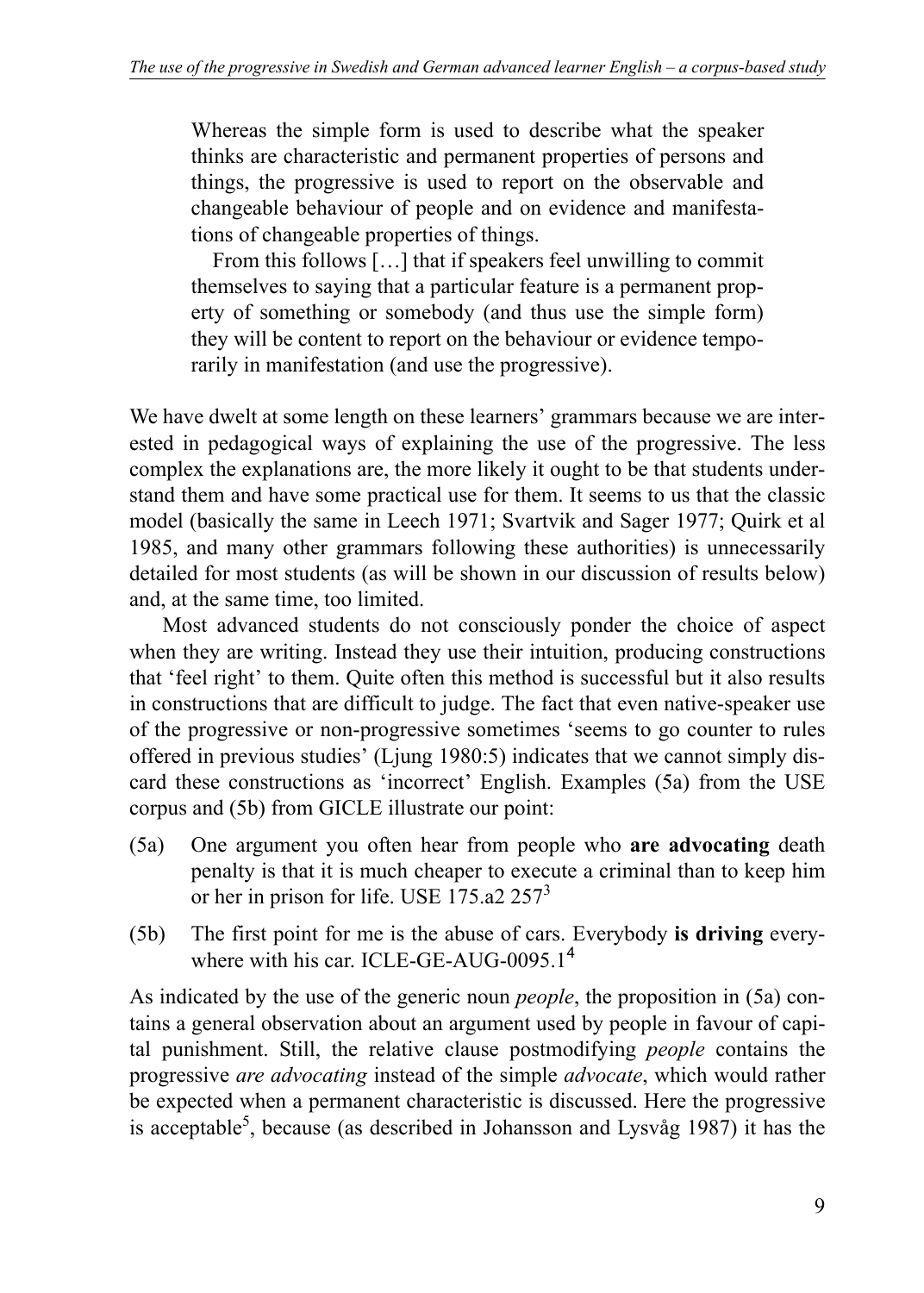Whereas the simple form is used to describe what the speaker thinks are characteristic and permanent properties of persons and things, the progressive is used to report on the observable and changeable behaviour of people and on evidence and manifestations of changeable properties of things.

From this follows […] that if speakers feel unwilling to commit themselves to saying that a particular feature is a permanent property of something or somebody (and thus use the simple form) they will be content to report on the behaviour or evidence temporarily in manifestation (and use the progressive).

We have dwelt at some length on these learners' grammars because we are interested in pedagogical ways of explaining the use of the progressive. The less complex the explanations are, the more likely it ought to be that students understand them and have some practical use for them. It seems to us that the classic model (basically the same in Leech 1971; Svartvik and Sager 1977; Quirk et al 1985, and many other grammars following these authorities) is unnecessarily detailed for most students (as will be shown in our discussion of results below) and, at the same time, too limited.

Most advanced students do not consciously ponder the choice of aspect when they are writing. Instead they use their intuition, producing constructions that 'feel right' to them. Quite often this method is successful but it also results in constructions that are difficult to judge. The fact that even native-speaker use of the progressive or non-progressive sometimes 'seems to go counter to rules offered in previous studies' (Ljung 1980:5) indicates that we cannot simply discard these constructions as 'incorrect' English. Examples (5a) from the USE corpus and (5b) from GICLE illustrate our point:

- (5a) One argument you often hear from people who **are advocating** death penalty is that it is much cheaper to execute a criminal than to keep him or her in prison for life. USE 175.a2  $257<sup>3</sup>$
- (5b) The first point for me is the abuse of cars. Everybody **is driving** everywhere with his car. ICLE-GE-AUG-0095.1<sup>4</sup>

As indicated by the use of the generic noun *people*, the proposition in (5a) contains a general observation about an argument used by people in favour of capital punishment. Still, the relative clause postmodifying *people* contains the progressive *are advocating* instead of the simple *advocate*, which would rather be expected when a permanent characteristic is discussed. Here the progressive is acceptable<sup>5</sup>, because (as described in Johansson and Lysvåg 1987) it has the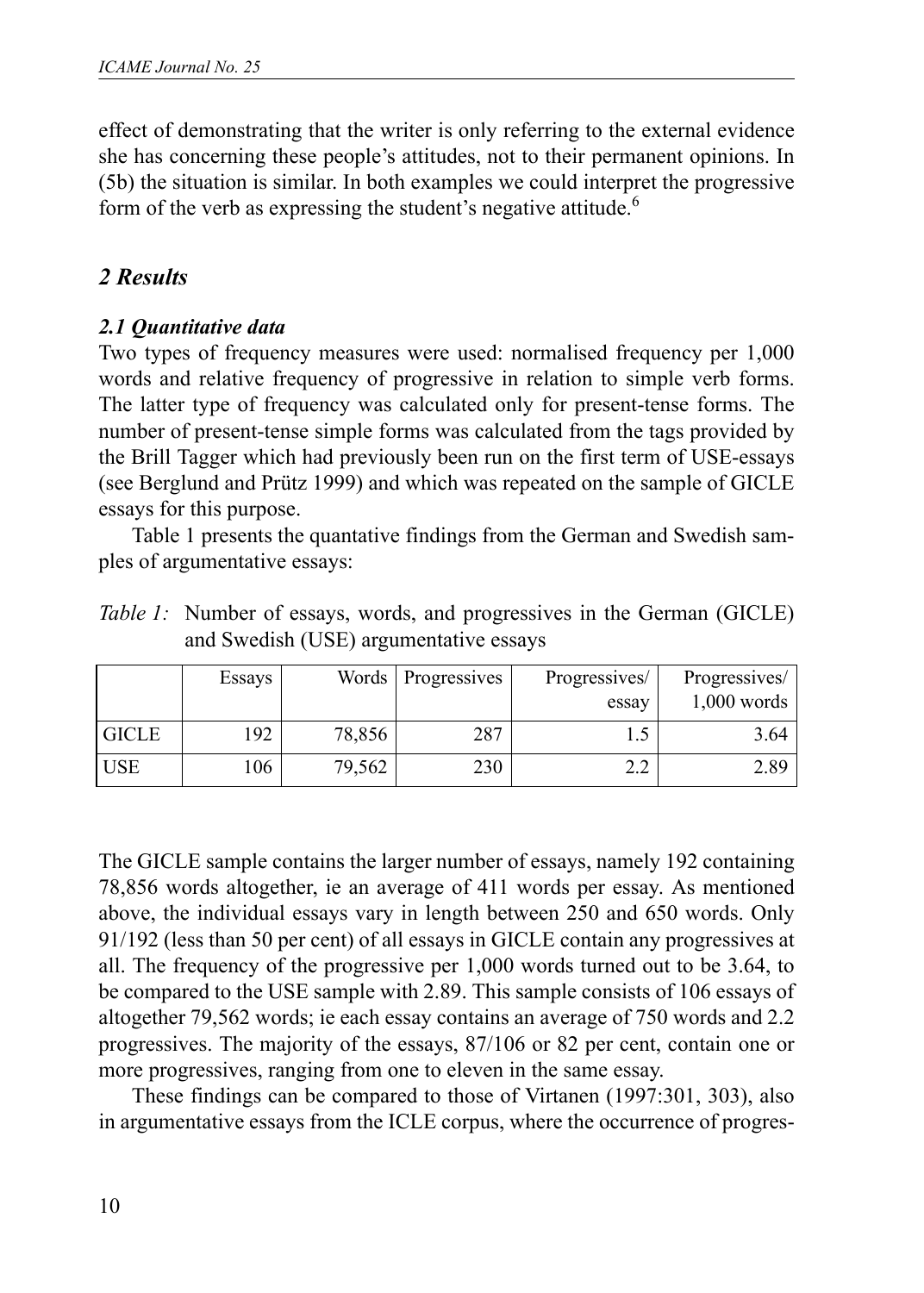effect of demonstrating that the writer is only referring to the external evidence she has concerning these people's attitudes, not to their permanent opinions. In (5b) the situation is similar. In both examples we could interpret the progressive form of the verb as expressing the student's negative attitude.<sup>6</sup>

# *2 Results*

# *2.1 Quantitative data*

Two types of frequency measures were used: normalised frequency per 1,000 words and relative frequency of progressive in relation to simple verb forms. The latter type of frequency was calculated only for present-tense forms. The number of present-tense simple forms was calculated from the tags provided by the Brill Tagger which had previously been run on the first term of USE-essays (see Berglund and Prütz 1999) and which was repeated on the sample of GICLE essays for this purpose.

Table 1 presents the quantative findings from the German and Swedish samples of argumentative essays:

| <i>Table 1:</i> Number of essays, words, and progressives in the German (GICLE) |  |  |  |
|---------------------------------------------------------------------------------|--|--|--|
| and Swedish (USE) argumentative essays                                          |  |  |  |

|              | Essays |        | Words Progressives | Progressives/<br>essay | Progressives/<br>$1,000$ words |
|--------------|--------|--------|--------------------|------------------------|--------------------------------|
| <b>GICLE</b> | 192    | 78,856 | 287                |                        | 3.64                           |
| <b>USE</b>   | 106    | 79,562 | 230                | 2. L                   | 2.89                           |

The GICLE sample contains the larger number of essays, namely 192 containing 78,856 words altogether, ie an average of 411 words per essay. As mentioned above, the individual essays vary in length between 250 and 650 words. Only 91/192 (less than 50 per cent) of all essays in GICLE contain any progressives at all. The frequency of the progressive per 1,000 words turned out to be 3.64, to be compared to the USE sample with 2.89. This sample consists of 106 essays of altogether 79,562 words; ie each essay contains an average of 750 words and 2.2 progressives. The majority of the essays, 87/106 or 82 per cent, contain one or more progressives, ranging from one to eleven in the same essay.

These findings can be compared to those of Virtanen (1997:301, 303), also in argumentative essays from the ICLE corpus, where the occurrence of progres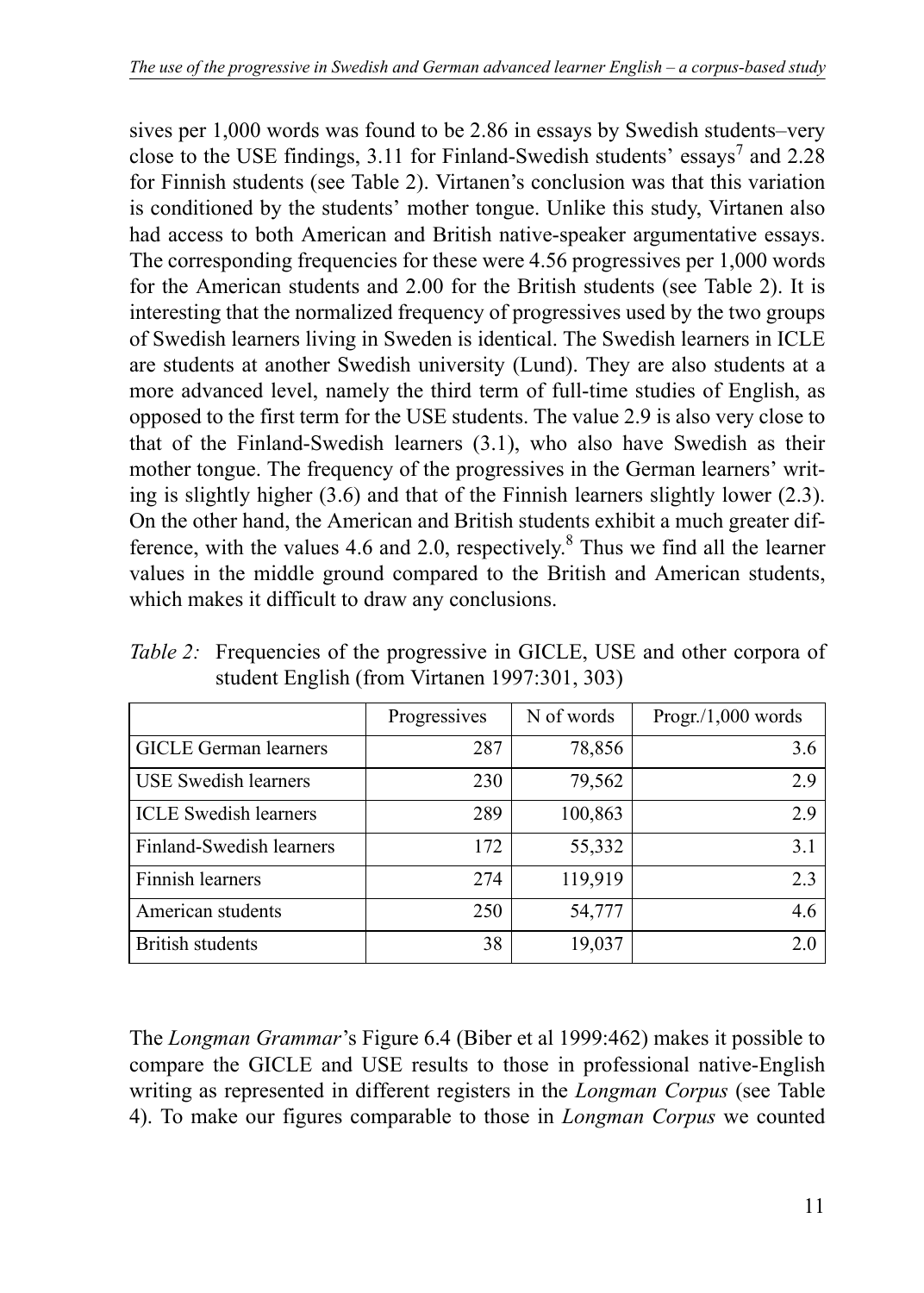sives per 1,000 words was found to be 2.86 in essays by Swedish students–very close to the USE findings, 3.11 for Finland-Swedish students' essays<sup>7</sup> and 2.28 for Finnish students (see Table 2). Virtanen's conclusion was that this variation is conditioned by the students' mother tongue. Unlike this study, Virtanen also had access to both American and British native-speaker argumentative essays. The corresponding frequencies for these were 4.56 progressives per 1,000 words for the American students and 2.00 for the British students (see Table 2). It is interesting that the normalized frequency of progressives used by the two groups of Swedish learners living in Sweden is identical. The Swedish learners in ICLE are students at another Swedish university (Lund). They are also students at a more advanced level, namely the third term of full-time studies of English, as opposed to the first term for the USE students. The value 2.9 is also very close to that of the Finland-Swedish learners (3.1), who also have Swedish as their mother tongue. The frequency of the progressives in the German learners' writing is slightly higher (3.6) and that of the Finnish learners slightly lower (2.3). On the other hand, the American and British students exhibit a much greater difference, with the values 4.6 and 2.0, respectively. $8$  Thus we find all the learner values in the middle ground compared to the British and American students, which makes it difficult to draw any conclusions.

|                              | Progressives | N of words | Program/1,000 words |
|------------------------------|--------------|------------|---------------------|
| <b>GICLE</b> German learners | 287          | 78,856     | 3.6                 |
| <b>USE</b> Swedish learners  | 230          | 79,562     | 2.9                 |
| <b>ICLE</b> Swedish learners | 289          | 100,863    | 2.9                 |
| Finland-Swedish learners     | 172          | 55,332     | 3.1                 |
| Finnish learners             | 274          | 119,919    | 2.3                 |
| American students            | 250          | 54,777     | 4.6                 |
| <b>British students</b>      | 38           | 19,037     | 2.0                 |

*Table 2:* Frequencies of the progressive in GICLE, USE and other corpora of student English (from Virtanen 1997:301, 303)

The *Longman Grammar*'s Figure 6.4 (Biber et al 1999:462) makes it possible to compare the GICLE and USE results to those in professional native-English writing as represented in different registers in the *Longman Corpus* (see Table 4). To make our figures comparable to those in *Longman Corpus* we counted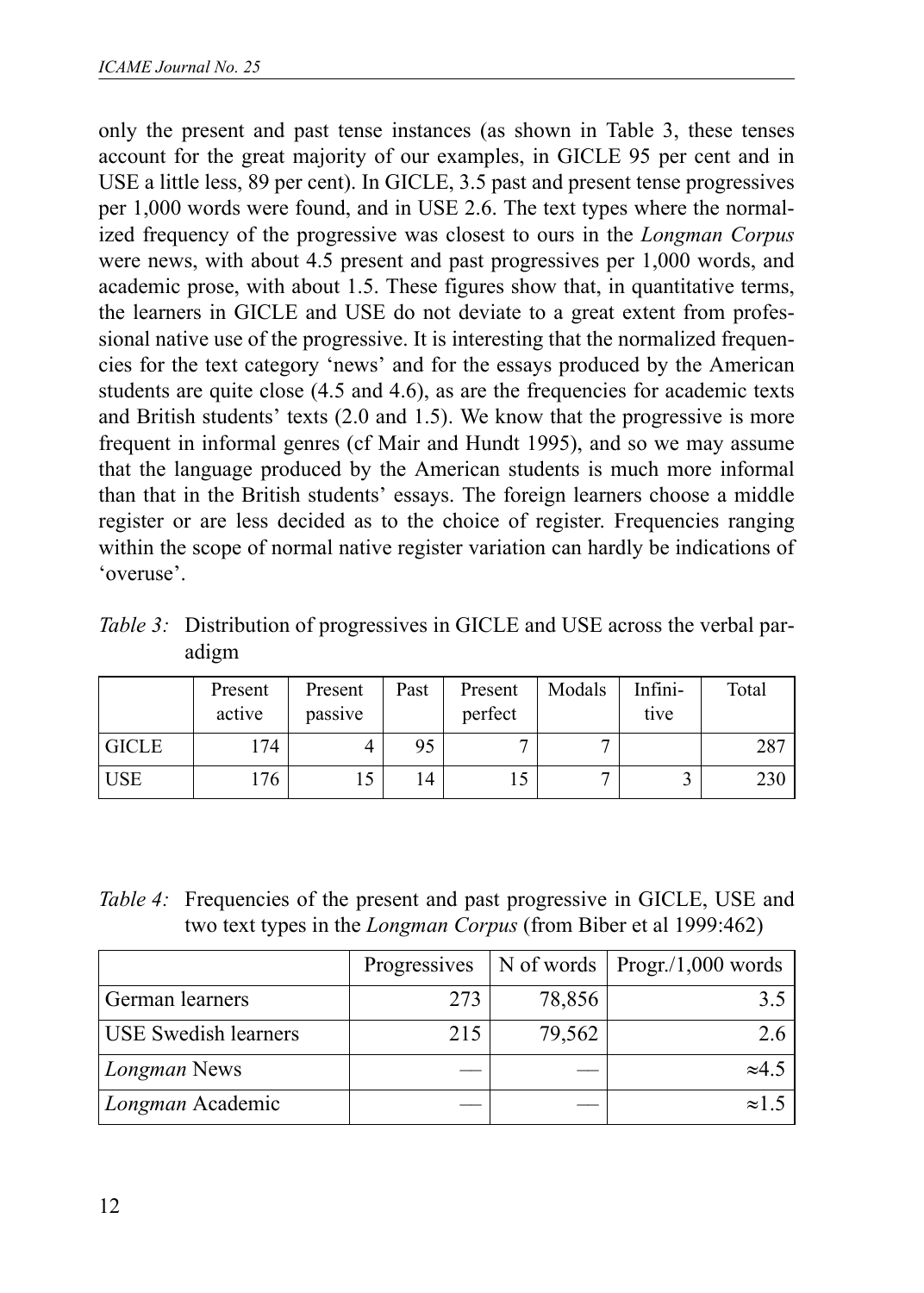only the present and past tense instances (as shown in Table 3, these tenses account for the great majority of our examples, in GICLE 95 per cent and in USE a little less, 89 per cent). In GICLE, 3.5 past and present tense progressives per 1,000 words were found, and in USE 2.6. The text types where the normalized frequency of the progressive was closest to ours in the *Longman Corpus* were news, with about 4.5 present and past progressives per 1,000 words, and academic prose, with about 1.5. These figures show that, in quantitative terms, the learners in GICLE and USE do not deviate to a great extent from professional native use of the progressive. It is interesting that the normalized frequencies for the text category 'news' and for the essays produced by the American students are quite close (4.5 and 4.6), as are the frequencies for academic texts and British students' texts (2.0 and 1.5). We know that the progressive is more frequent in informal genres (cf Mair and Hundt 1995), and so we may assume that the language produced by the American students is much more informal than that in the British students' essays. The foreign learners choose a middle register or are less decided as to the choice of register. Frequencies ranging within the scope of normal native register variation can hardly be indications of 'overuse'.

*Table 3:* Distribution of progressives in GICLE and USE across the verbal paradigm

|              | Present<br>active | Present<br>passive | Past | Present<br>perfect | Modals | Infini-<br>tive | Total |
|--------------|-------------------|--------------------|------|--------------------|--------|-----------------|-------|
| <b>GICLE</b> | 174               |                    | 95   |                    |        |                 | 287   |
| <b>USE</b>   | 176               |                    | ، 4  |                    |        |                 | 230   |

| Table 4: Frequencies of the present and past progressive in GICLE, USE and |
|----------------------------------------------------------------------------|
| two text types in the <i>Longman Corpus</i> (from Biber et al 1999:462)    |

|                             | Progressives |        | N of words $\sqrt{\frac{P_{\text{top}}}{1,000}}$ words |
|-----------------------------|--------------|--------|--------------------------------------------------------|
| German learners             | 273          | 78,856 |                                                        |
| <b>USE Swedish learners</b> | 215          | 79,562 | 26                                                     |
| Longman News                |              |        | $\approx 4.5$                                          |
| Longman Academic            |              |        | $\approx$ 1.                                           |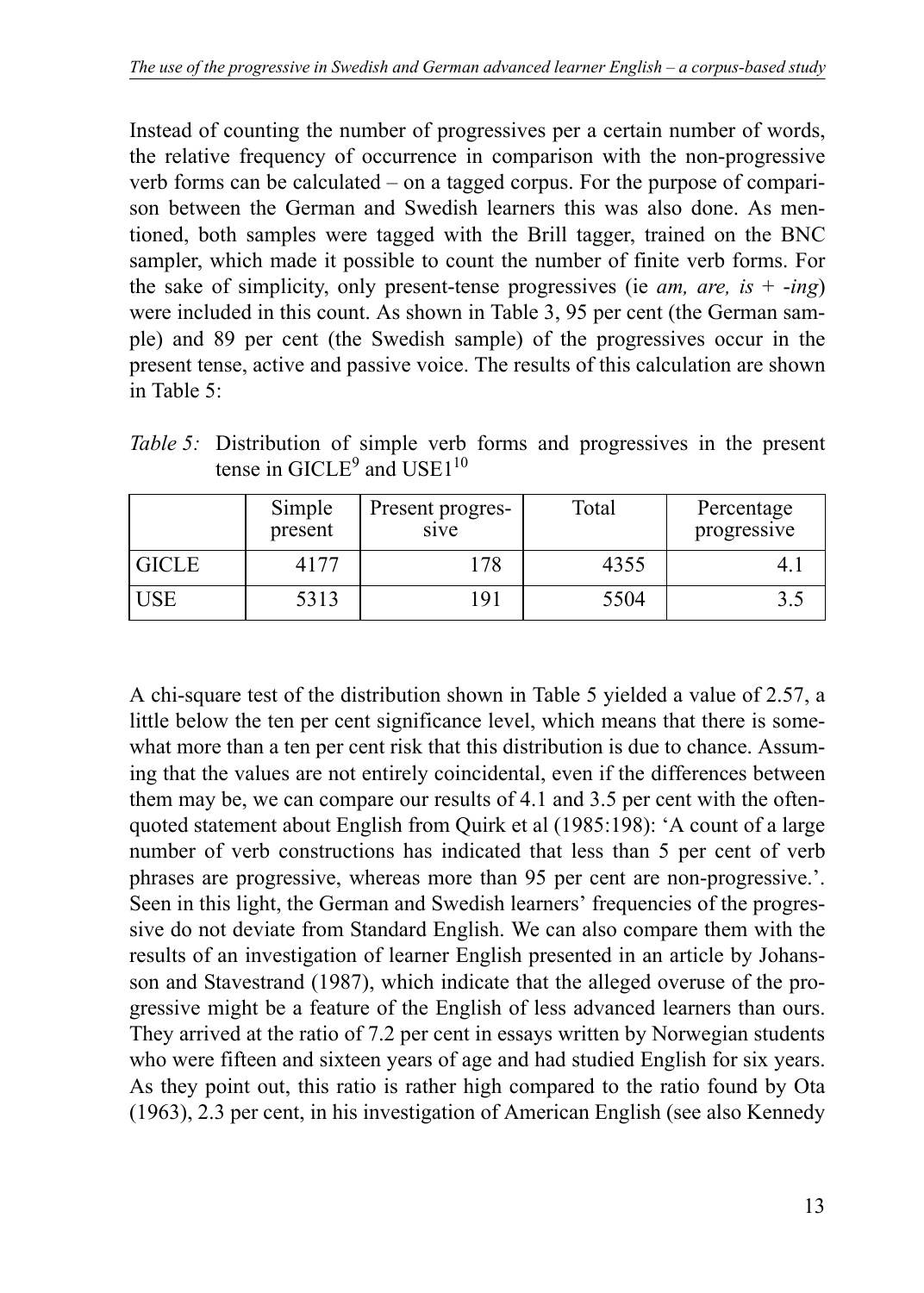Instead of counting the number of progressives per a certain number of words, the relative frequency of occurrence in comparison with the non-progressive verb forms can be calculated – on a tagged corpus. For the purpose of comparison between the German and Swedish learners this was also done. As mentioned, both samples were tagged with the Brill tagger, trained on the BNC sampler, which made it possible to count the number of finite verb forms. For the sake of simplicity, only present-tense progressives (ie *am, are, is*  $+$  -*ing*) were included in this count. As shown in Table 3, 95 per cent (the German sample) and 89 per cent (the Swedish sample) of the progressives occur in the present tense, active and passive voice. The results of this calculation are shown in Table 5:

*Table 5:* Distribution of simple verb forms and progressives in the present tense in  $GICLE<sup>9</sup>$  and  $USE1<sup>10</sup>$ 

|              | Simple<br>present | Present progres-<br>sive | Total | Percentage<br>progressive |
|--------------|-------------------|--------------------------|-------|---------------------------|
| <b>GICLE</b> | 4177              | 178                      | 4355  |                           |
| <b>USE</b>   | 5313              | 191                      | 5504  |                           |

A chi-square test of the distribution shown in Table 5 yielded a value of 2.57, a little below the ten per cent significance level, which means that there is somewhat more than a ten per cent risk that this distribution is due to chance. Assuming that the values are not entirely coincidental, even if the differences between them may be, we can compare our results of 4.1 and 3.5 per cent with the oftenquoted statement about English from Quirk et al (1985:198): 'A count of a large number of verb constructions has indicated that less than 5 per cent of verb phrases are progressive, whereas more than 95 per cent are non-progressive.'. Seen in this light, the German and Swedish learners' frequencies of the progressive do not deviate from Standard English. We can also compare them with the results of an investigation of learner English presented in an article by Johansson and Stavestrand (1987), which indicate that the alleged overuse of the progressive might be a feature of the English of less advanced learners than ours. They arrived at the ratio of 7.2 per cent in essays written by Norwegian students who were fifteen and sixteen years of age and had studied English for six years. As they point out, this ratio is rather high compared to the ratio found by Ota (1963), 2.3 per cent, in his investigation of American English (see also Kennedy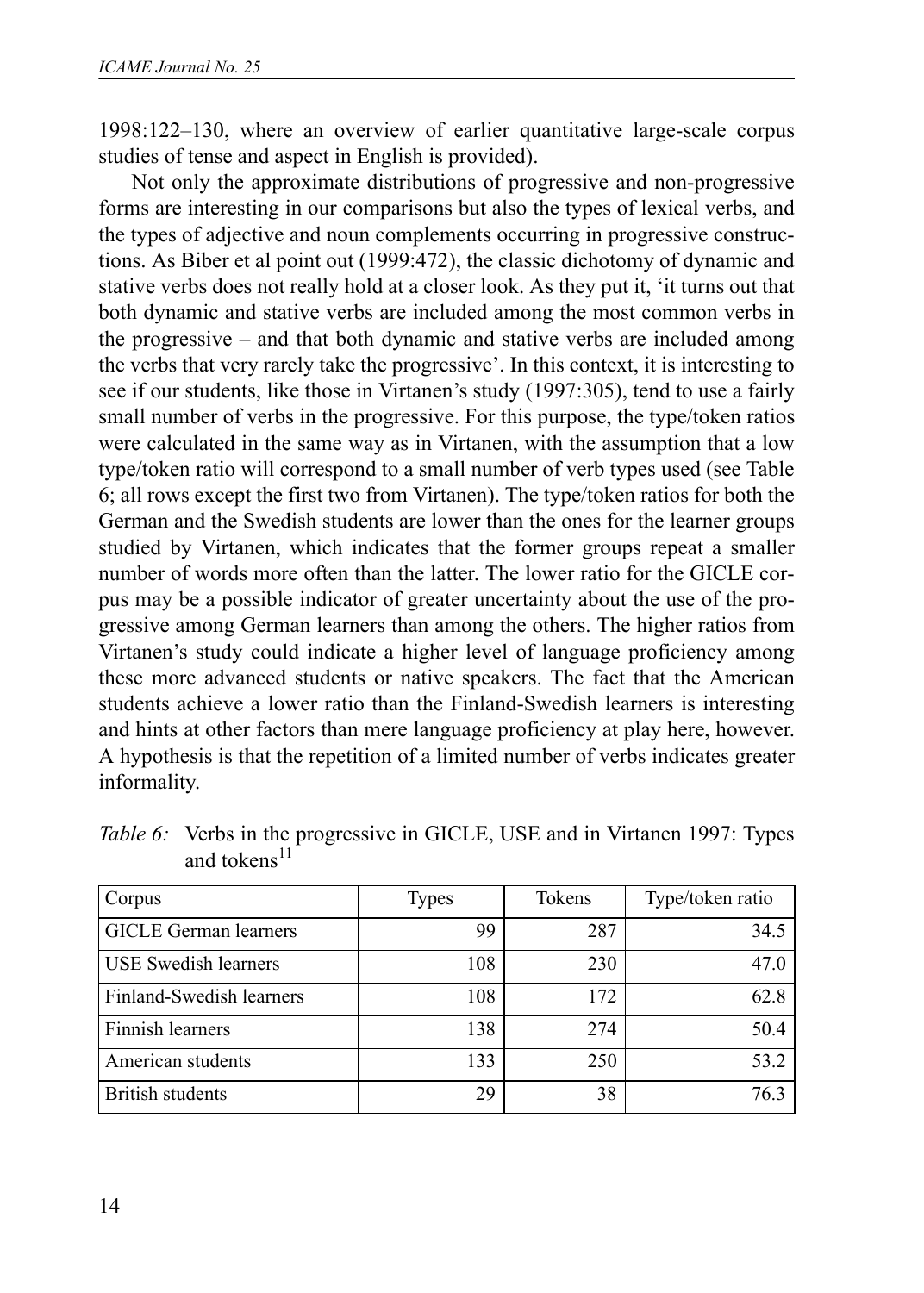1998:122–130, where an overview of earlier quantitative large-scale corpus studies of tense and aspect in English is provided).

Not only the approximate distributions of progressive and non-progressive forms are interesting in our comparisons but also the types of lexical verbs, and the types of adjective and noun complements occurring in progressive constructions. As Biber et al point out (1999:472), the classic dichotomy of dynamic and stative verbs does not really hold at a closer look. As they put it, 'it turns out that both dynamic and stative verbs are included among the most common verbs in the progressive – and that both dynamic and stative verbs are included among the verbs that very rarely take the progressive'. In this context, it is interesting to see if our students, like those in Virtanen's study (1997:305), tend to use a fairly small number of verbs in the progressive. For this purpose, the type/token ratios were calculated in the same way as in Virtanen, with the assumption that a low type/token ratio will correspond to a small number of verb types used (see Table 6; all rows except the first two from Virtanen). The type/token ratios for both the German and the Swedish students are lower than the ones for the learner groups studied by Virtanen, which indicates that the former groups repeat a smaller number of words more often than the latter. The lower ratio for the GICLE corpus may be a possible indicator of greater uncertainty about the use of the progressive among German learners than among the others. The higher ratios from Virtanen's study could indicate a higher level of language proficiency among these more advanced students or native speakers. The fact that the American students achieve a lower ratio than the Finland-Swedish learners is interesting and hints at other factors than mere language proficiency at play here, however. A hypothesis is that the repetition of a limited number of verbs indicates greater informality.

| Corpus                       | <b>Types</b> | Tokens | Type/token ratio |
|------------------------------|--------------|--------|------------------|
| <b>GICLE</b> German learners | 99           | 287    | 34.5             |
| <b>USE Swedish learners</b>  | 108          | 230    | 47.0             |
| Finland-Swedish learners     | 108          | 172    | 62.8             |
| Finnish learners             | 138          | 274    | 50.4             |
| American students            | 133          | 250    | 53.2             |
| <b>British students</b>      | 29           | 38     | 76.3             |

*Table 6:* Verbs in the progressive in GICLE, USE and in Virtanen 1997: Types and tokens $11$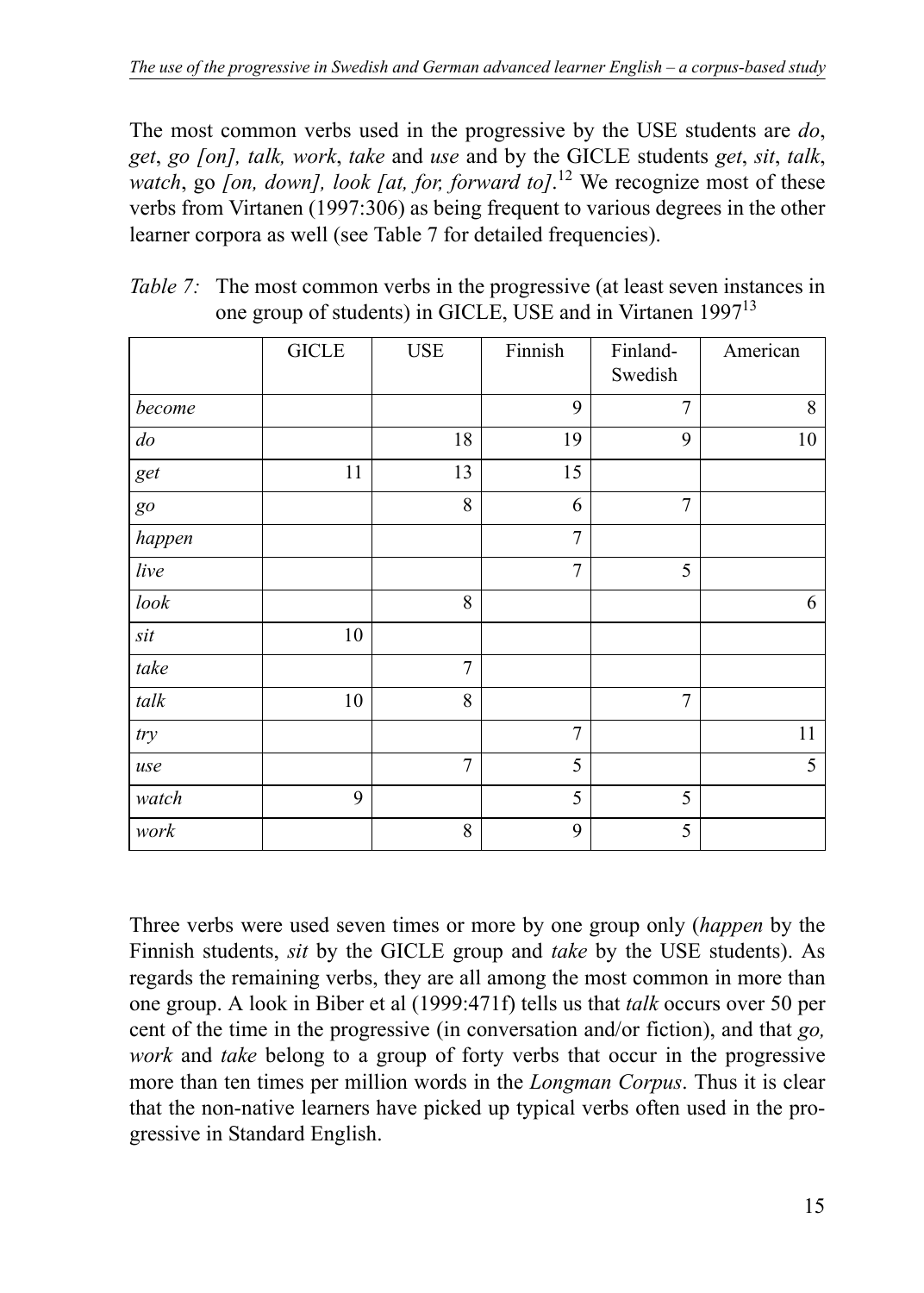The most common verbs used in the progressive by the USE students are *do*, *get*, *go [on], talk, work*, *take* and *use* and by the GICLE students *get*, *sit*, *talk*, *watch*, go *[on, down], look [at, for, forward to]*. 12 We recognize most of these verbs from Virtanen (1997:306) as being frequent to various degrees in the other learner corpora as well (see Table 7 for detailed frequencies).

|        | <b>GICLE</b> | $_{\rm{USE}}$ | Finnish        | Finland-<br>Swedish | American |
|--------|--------------|---------------|----------------|---------------------|----------|
| become |              |               | 9              | 7                   | 8        |
| do     |              | 18            | 19             | 9                   | 10       |
| get    | 11           | 13            | 15             |                     |          |
| go     |              | 8             | 6              | 7                   |          |
| happen |              |               | 7              |                     |          |
| live   |              |               | $\tau$         | 5                   |          |
| $look$ |              | 8             |                |                     | 6        |
| sit    | $10\,$       |               |                |                     |          |
| take   |              | 7             |                |                     |          |
| $talk$ | $10\,$       | 8             |                | 7                   |          |
| try    |              |               | $\overline{7}$ |                     | 11       |
| use    |              | 7             | 5              |                     | 5        |
| watch  | 9            |               | 5              | 5                   |          |
| work   |              | 8             | 9              | 5                   |          |

| <i>Table 7:</i> The most common verbs in the progressive (at least seven instances in |
|---------------------------------------------------------------------------------------|
| one group of students) in GICLE, USE and in Virtanen 1997 <sup>13</sup>               |

Three verbs were used seven times or more by one group only (*happen* by the Finnish students, *sit* by the GICLE group and *take* by the USE students). As regards the remaining verbs, they are all among the most common in more than one group. A look in Biber et al (1999:471f) tells us that *talk* occurs over 50 per cent of the time in the progressive (in conversation and/or fiction), and that *go, work* and *take* belong to a group of forty verbs that occur in the progressive more than ten times per million words in the *Longman Corpus*. Thus it is clear that the non-native learners have picked up typical verbs often used in the progressive in Standard English.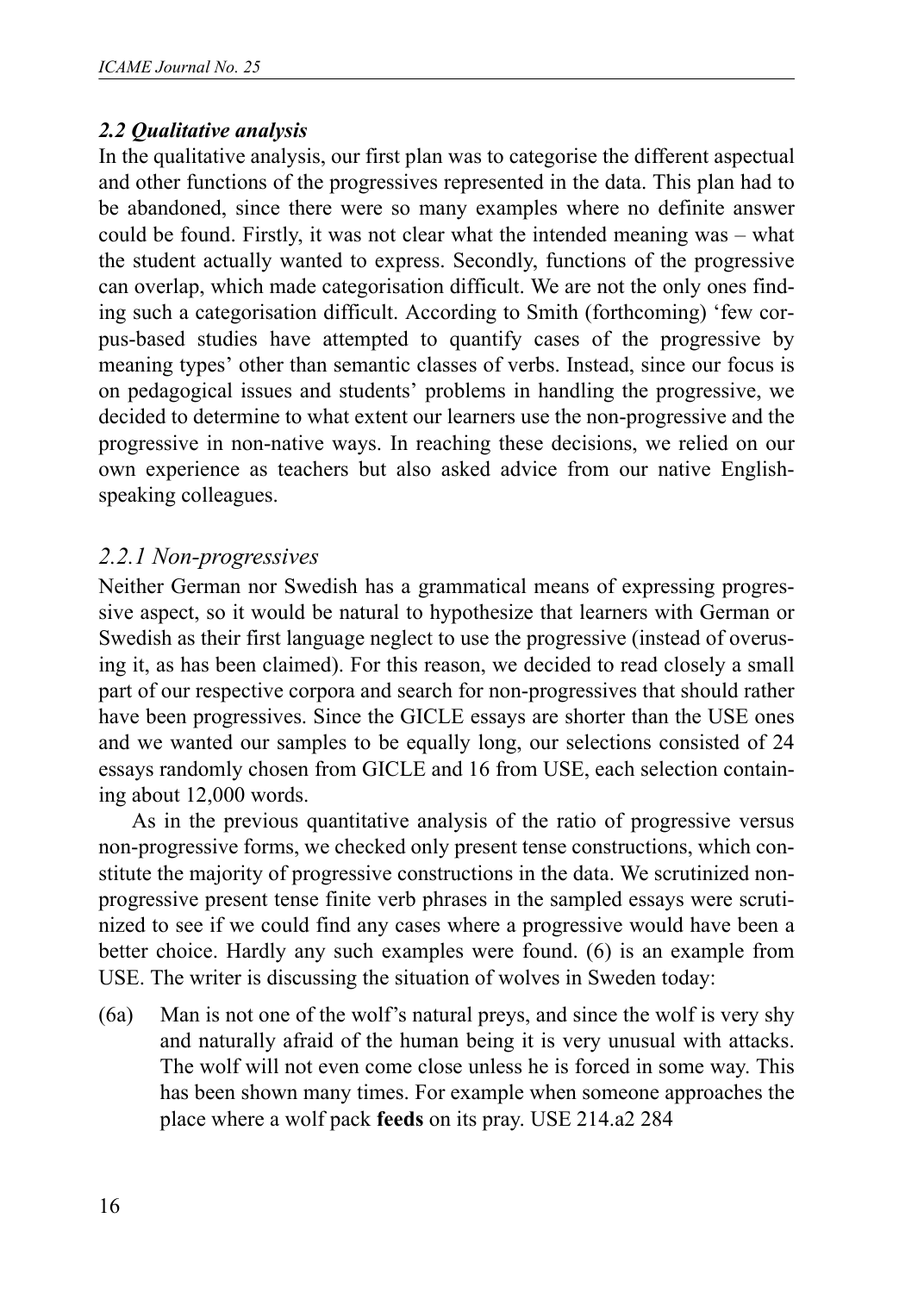### *2.2 Qualitative analysis*

In the qualitative analysis, our first plan was to categorise the different aspectual and other functions of the progressives represented in the data. This plan had to be abandoned, since there were so many examples where no definite answer could be found. Firstly, it was not clear what the intended meaning was – what the student actually wanted to express. Secondly, functions of the progressive can overlap, which made categorisation difficult. We are not the only ones finding such a categorisation difficult. According to Smith (forthcoming) 'few corpus-based studies have attempted to quantify cases of the progressive by meaning types' other than semantic classes of verbs. Instead, since our focus is on pedagogical issues and students' problems in handling the progressive, we decided to determine to what extent our learners use the non-progressive and the progressive in non-native ways. In reaching these decisions, we relied on our own experience as teachers but also asked advice from our native Englishspeaking colleagues.

### *2.2.1 Non-progressives*

Neither German nor Swedish has a grammatical means of expressing progressive aspect, so it would be natural to hypothesize that learners with German or Swedish as their first language neglect to use the progressive (instead of overusing it, as has been claimed). For this reason, we decided to read closely a small part of our respective corpora and search for non-progressives that should rather have been progressives. Since the GICLE essays are shorter than the USE ones and we wanted our samples to be equally long, our selections consisted of 24 essays randomly chosen from GICLE and 16 from USE, each selection containing about 12,000 words.

As in the previous quantitative analysis of the ratio of progressive versus non-progressive forms, we checked only present tense constructions, which constitute the majority of progressive constructions in the data. We scrutinized nonprogressive present tense finite verb phrases in the sampled essays were scrutinized to see if we could find any cases where a progressive would have been a better choice. Hardly any such examples were found. (6) is an example from USE. The writer is discussing the situation of wolves in Sweden today:

(6a) Man is not one of the wolf's natural preys, and since the wolf is very shy and naturally afraid of the human being it is very unusual with attacks. The wolf will not even come close unless he is forced in some way. This has been shown many times. For example when someone approaches the place where a wolf pack **feeds** on its pray. USE 214.a2 284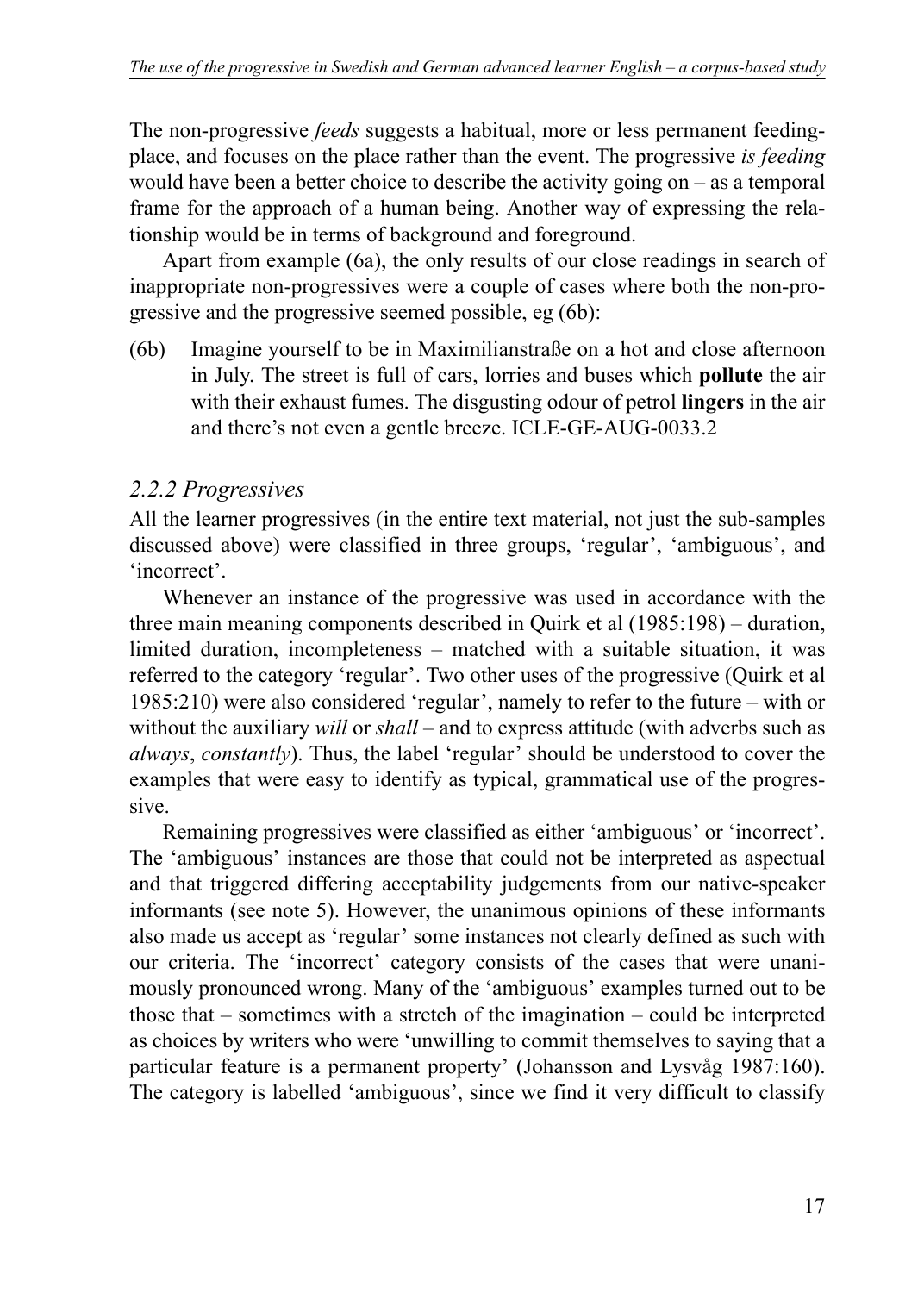The non-progressive *feeds* suggests a habitual, more or less permanent feedingplace, and focuses on the place rather than the event. The progressive *is feeding* would have been a better choice to describe the activity going on – as a temporal frame for the approach of a human being. Another way of expressing the relationship would be in terms of background and foreground.

Apart from example (6a), the only results of our close readings in search of inappropriate non-progressives were a couple of cases where both the non-progressive and the progressive seemed possible, eg (6b):

(6b) Imagine yourself to be in Maximilianstraße on a hot and close afternoon in July. The street is full of cars, lorries and buses which **pollute** the air with their exhaust fumes. The disgusting odour of petrol **lingers** in the air and there's not even a gentle breeze. ICLE-GE-AUG-0033.2

# *2.2.2 Progressives*

All the learner progressives (in the entire text material, not just the sub-samples discussed above) were classified in three groups, 'regular', 'ambiguous', and 'incorrect'.

Whenever an instance of the progressive was used in accordance with the three main meaning components described in Quirk et al (1985:198) – duration, limited duration, incompleteness – matched with a suitable situation, it was referred to the category 'regular'. Two other uses of the progressive (Quirk et al 1985:210) were also considered 'regular', namely to refer to the future – with or without the auxiliary *will* or *shall* – and to express attitude (with adverbs such as *always*, *constantly*). Thus, the label 'regular' should be understood to cover the examples that were easy to identify as typical, grammatical use of the progressive.

Remaining progressives were classified as either 'ambiguous' or 'incorrect'. The 'ambiguous' instances are those that could not be interpreted as aspectual and that triggered differing acceptability judgements from our native-speaker informants (see note 5). However, the unanimous opinions of these informants also made us accept as 'regular' some instances not clearly defined as such with our criteria. The 'incorrect' category consists of the cases that were unanimously pronounced wrong. Many of the 'ambiguous' examples turned out to be those that – sometimes with a stretch of the imagination – could be interpreted as choices by writers who were 'unwilling to commit themselves to saying that a particular feature is a permanent property' (Johansson and Lysvåg 1987:160). The category is labelled 'ambiguous', since we find it very difficult to classify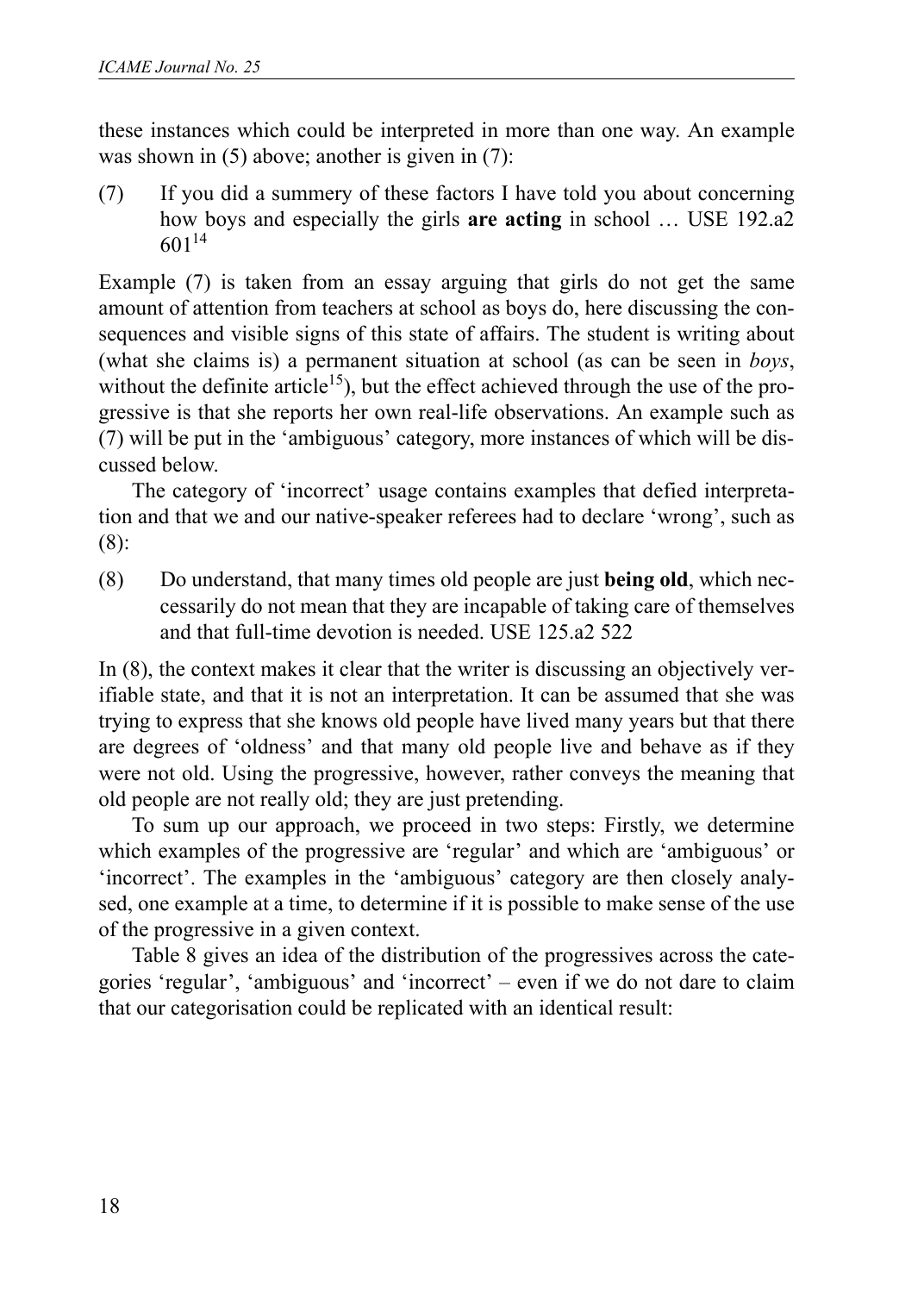these instances which could be interpreted in more than one way. An example was shown in (5) above; another is given in (7):

(7) If you did a summery of these factors I have told you about concerning how boys and especially the girls **are acting** in school … USE 192.a2 60114

Example (7) is taken from an essay arguing that girls do not get the same amount of attention from teachers at school as boys do, here discussing the consequences and visible signs of this state of affairs. The student is writing about (what she claims is) a permanent situation at school (as can be seen in *boys*, without the definite article<sup>15</sup>), but the effect achieved through the use of the progressive is that she reports her own real-life observations. An example such as (7) will be put in the 'ambiguous' category, more instances of which will be discussed below.

The category of 'incorrect' usage contains examples that defied interpretation and that we and our native-speaker referees had to declare 'wrong', such as (8):

(8) Do understand, that many times old people are just **being old**, which neccessarily do not mean that they are incapable of taking care of themselves and that full-time devotion is needed. USE 125.a2 522

In (8), the context makes it clear that the writer is discussing an objectively verifiable state, and that it is not an interpretation. It can be assumed that she was trying to express that she knows old people have lived many years but that there are degrees of 'oldness' and that many old people live and behave as if they were not old. Using the progressive, however, rather conveys the meaning that old people are not really old; they are just pretending.

To sum up our approach, we proceed in two steps: Firstly, we determine which examples of the progressive are 'regular' and which are 'ambiguous' or 'incorrect'. The examples in the 'ambiguous' category are then closely analysed, one example at a time, to determine if it is possible to make sense of the use of the progressive in a given context.

Table 8 gives an idea of the distribution of the progressives across the categories 'regular', 'ambiguous' and 'incorrect' – even if we do not dare to claim that our categorisation could be replicated with an identical result: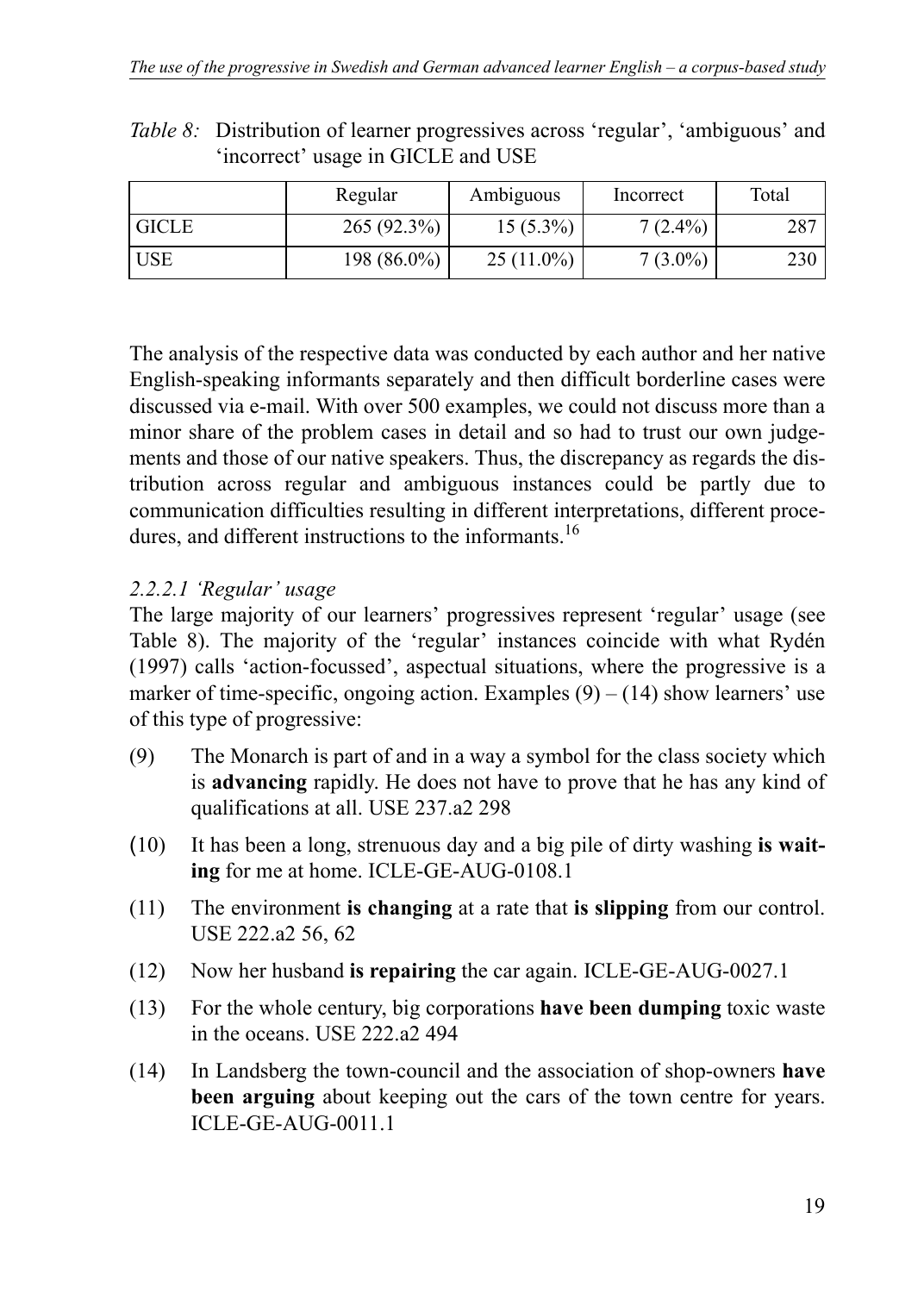|              | Regular     | Ambiguous    | Incorrect  | Total |
|--------------|-------------|--------------|------------|-------|
| <b>GICLE</b> | 265(92.3%)  | $15(5.3\%)$  | $7(2.4\%)$ | 287   |
| <b>USE</b>   | 198 (86.0%) | $25(11.0\%)$ | $7(3.0\%)$ | 230   |

*Table 8:* Distribution of learner progressives across 'regular', 'ambiguous' and 'incorrect' usage in GICLE and USE

The analysis of the respective data was conducted by each author and her native English-speaking informants separately and then difficult borderline cases were discussed via e-mail. With over 500 examples, we could not discuss more than a minor share of the problem cases in detail and so had to trust our own judgements and those of our native speakers. Thus, the discrepancy as regards the distribution across regular and ambiguous instances could be partly due to communication difficulties resulting in different interpretations, different procedures, and different instructions to the informants.<sup>16</sup>

# *2.2.2.1 'Regular' usage*

The large majority of our learners' progressives represent 'regular' usage (see Table 8). The majority of the 'regular' instances coincide with what Rydén (1997) calls 'action-focussed', aspectual situations, where the progressive is a marker of time-specific, ongoing action. Examples  $(9) - (14)$  show learners' use of this type of progressive:

- (9) The Monarch is part of and in a way a symbol for the class society which is **advancing** rapidly. He does not have to prove that he has any kind of qualifications at all. USE 237.a2 298
- (10) It has been a long, strenuous day and a big pile of dirty washing **is waiting** for me at home. ICLE-GE-AUG-0108.1
- (11) The environment **is changing** at a rate that **is slipping** from our control. USE 222.a2 56, 62
- (12) Now her husband **is repairing** the car again. ICLE-GE-AUG-0027.1
- (13) For the whole century, big corporations **have been dumping** toxic waste in the oceans. USE 222.a2 494
- (14) In Landsberg the town-council and the association of shop-owners **have been arguing** about keeping out the cars of the town centre for years. ICLE-GE-AUG-0011.1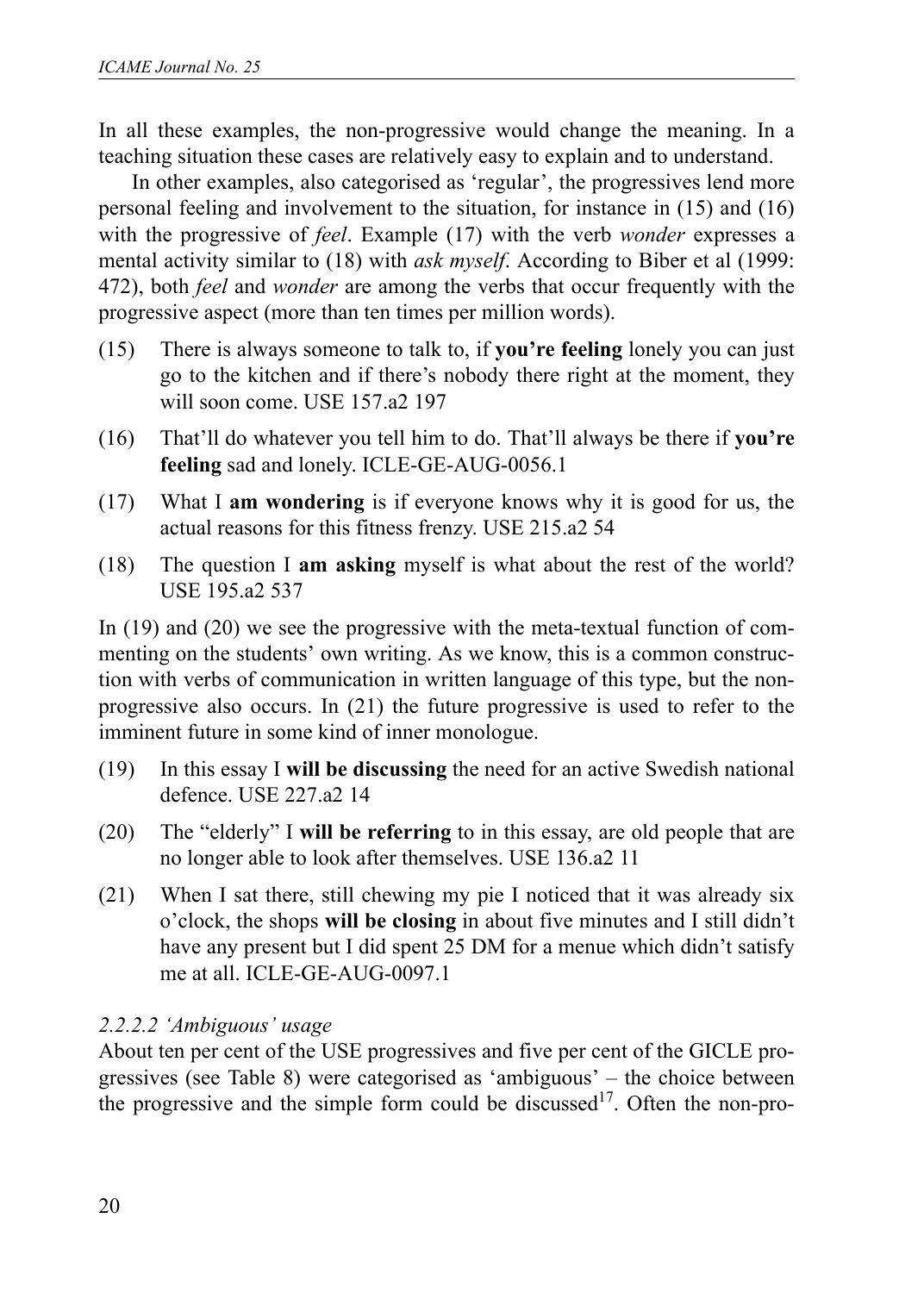In all these examples, the non-progressive would change the meaning. In a teaching situation these cases are relatively easy to explain and to understand.

In other examples, also categorised as 'regular', the progressives lend more personal feeling and involvement to the situation, for instance in (15) and (16) with the progressive of *feel*. Example (17) with the verb *wonder* expresses a mental activity similar to (18) with *ask myself*. According to Biber et al (1999: 472), both *feel* and *wonder* are among the verbs that occur frequently with the progressive aspect (more than ten times per million words).

- (15) There is always someone to talk to, if **you're feeling** lonely you can just go to the kitchen and if there's nobody there right at the moment, they will soon come. USE 157.a2 197
- (16) That'll do whatever you tell him to do. That'll always be there if **you're feeling** sad and lonely. ICLE-GE-AUG-0056.1
- (17) What I **am wondering** is if everyone knows why it is good for us, the actual reasons for this fitness frenzy. USE 215.a2 54
- (18) The question I **am asking** myself is what about the rest of the world? USE 195.a2 537

In (19) and (20) we see the progressive with the meta-textual function of commenting on the students' own writing. As we know, this is a common construction with verbs of communication in written language of this type, but the nonprogressive also occurs. In (21) the future progressive is used to refer to the imminent future in some kind of inner monologue.

- (19) In this essay I **will be discussing** the need for an active Swedish national defence. USE 227.a2 14
- (20) The "elderly" I **will be referring** to in this essay, are old people that are no longer able to look after themselves. USE 136.a2 11
- (21) When I sat there, still chewing my pie I noticed that it was already six o'clock, the shops **will be closing** in about five minutes and I still didn't have any present but I did spent 25 DM for a menue which didn't satisfy me at all. ICLE-GE-AUG-0097.1

### *2.2.2.2 'Ambiguous' usage*

About ten per cent of the USE progressives and five per cent of the GICLE progressives (see Table 8) were categorised as 'ambiguous' – the choice between the progressive and the simple form could be discussed<sup>17</sup>. Often the non-pro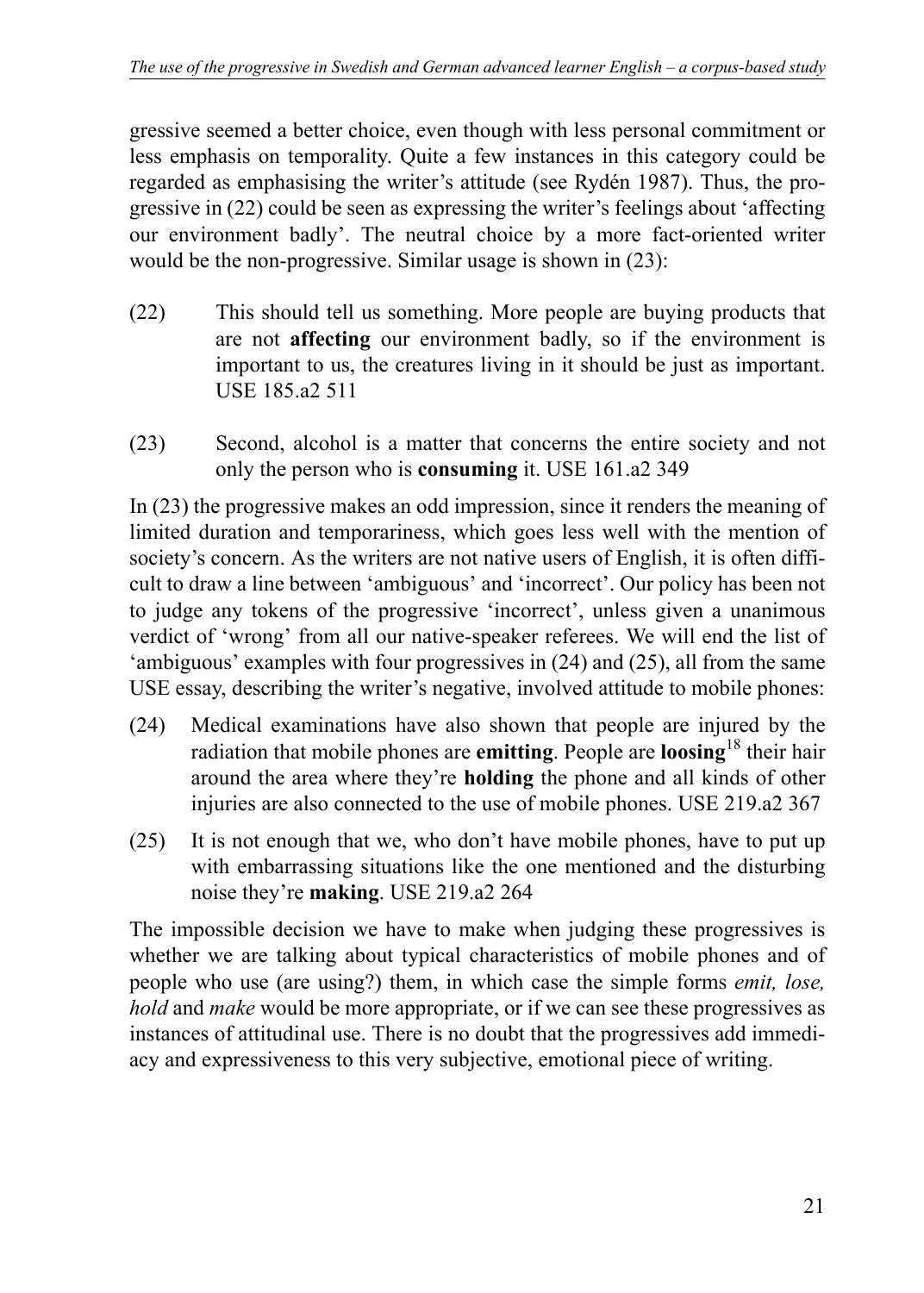gressive seemed a better choice, even though with less personal commitment or less emphasis on temporality. Quite a few instances in this category could be regarded as emphasising the writer's attitude (see Rydén 1987). Thus, the progressive in (22) could be seen as expressing the writer's feelings about 'affecting our environment badly'. The neutral choice by a more fact-oriented writer would be the non-progressive. Similar usage is shown in (23):

- (22) This should tell us something. More people are buying products that are not **affecting** our environment badly, so if the environment is important to us, the creatures living in it should be just as important. USE 185.a2 511
- (23) Second, alcohol is a matter that concerns the entire society and not only the person who is **consuming** it. USE 161.a2 349

In (23) the progressive makes an odd impression, since it renders the meaning of limited duration and temporariness, which goes less well with the mention of society's concern. As the writers are not native users of English, it is often difficult to draw a line between 'ambiguous' and 'incorrect'. Our policy has been not to judge any tokens of the progressive 'incorrect', unless given a unanimous verdict of 'wrong' from all our native-speaker referees. We will end the list of 'ambiguous' examples with four progressives in (24) and (25), all from the same USE essay, describing the writer's negative, involved attitude to mobile phones:

- (24) Medical examinations have also shown that people are injured by the radiation that mobile phones are **emitting**. People are **loosing**18 their hair around the area where they're **holding** the phone and all kinds of other injuries are also connected to the use of mobile phones. USE 219.a2 367
- (25) It is not enough that we, who don't have mobile phones, have to put up with embarrassing situations like the one mentioned and the disturbing noise they're **making**. USE 219.a2 264

The impossible decision we have to make when judging these progressives is whether we are talking about typical characteristics of mobile phones and of people who use (are using?) them, in which case the simple forms *emit, lose, hold* and *make* would be more appropriate, or if we can see these progressives as instances of attitudinal use. There is no doubt that the progressives add immediacy and expressiveness to this very subjective, emotional piece of writing.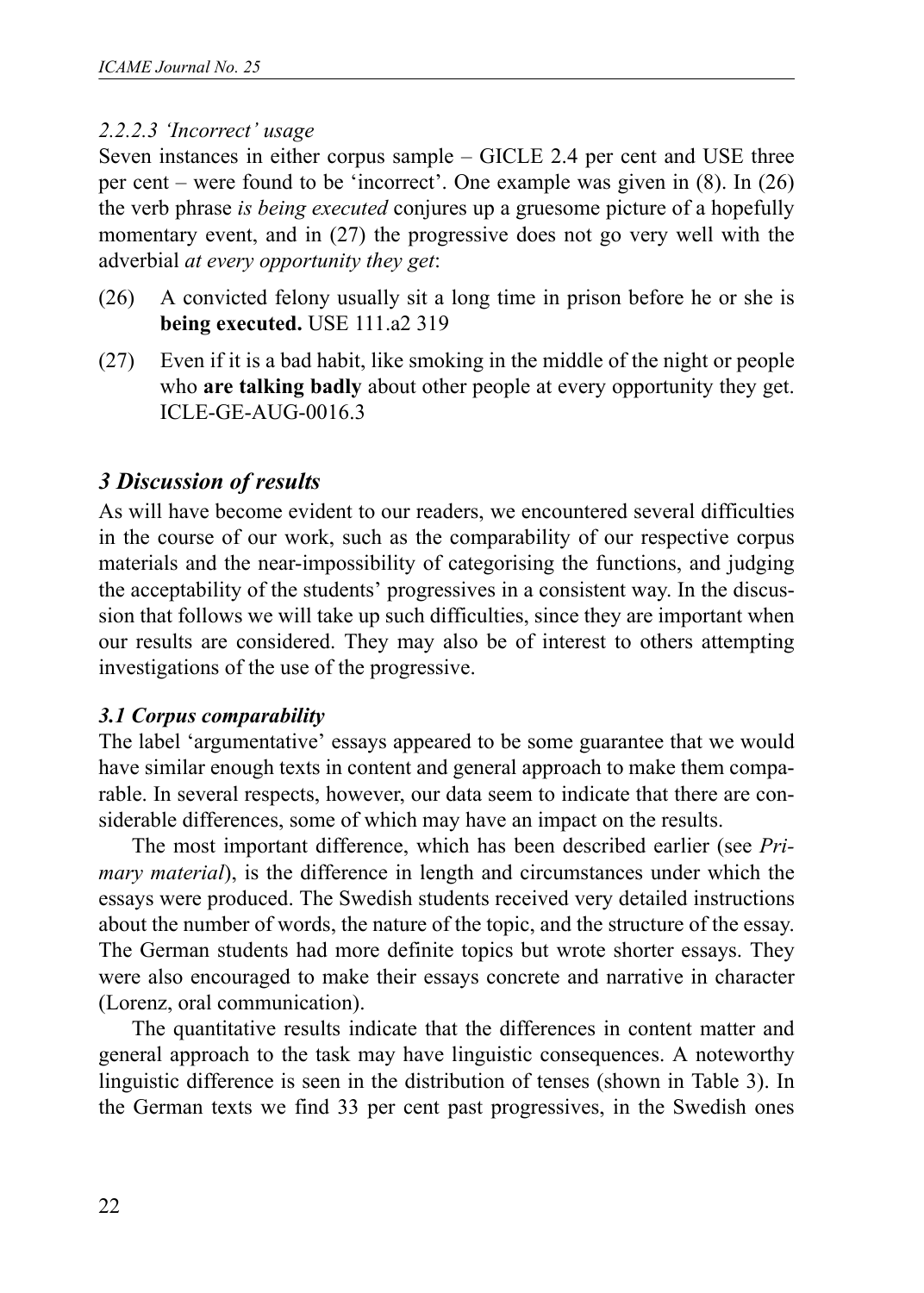### *2.2.2.3 'Incorrect' usage*

Seven instances in either corpus sample – GICLE 2.4 per cent and USE three per cent – were found to be 'incorrect'. One example was given in (8). In (26) the verb phrase *is being executed* conjures up a gruesome picture of a hopefully momentary event, and in (27) the progressive does not go very well with the adverbial *at every opportunity they get*:

- (26) A convicted felony usually sit a long time in prison before he or she is **being executed.** USE 111.a2 319
- (27) Even if it is a bad habit, like smoking in the middle of the night or people who **are talking badly** about other people at every opportunity they get. ICLE-GE-AUG-0016.3

### *3 Discussion of results*

As will have become evident to our readers, we encountered several difficulties in the course of our work, such as the comparability of our respective corpus materials and the near-impossibility of categorising the functions, and judging the acceptability of the students' progressives in a consistent way. In the discussion that follows we will take up such difficulties, since they are important when our results are considered. They may also be of interest to others attempting investigations of the use of the progressive.

#### *3.1 Corpus comparability*

The label 'argumentative' essays appeared to be some guarantee that we would have similar enough texts in content and general approach to make them comparable. In several respects, however, our data seem to indicate that there are considerable differences, some of which may have an impact on the results.

The most important difference, which has been described earlier (see *Primary material*), is the difference in length and circumstances under which the essays were produced. The Swedish students received very detailed instructions about the number of words, the nature of the topic, and the structure of the essay. The German students had more definite topics but wrote shorter essays. They were also encouraged to make their essays concrete and narrative in character (Lorenz, oral communication).

The quantitative results indicate that the differences in content matter and general approach to the task may have linguistic consequences. A noteworthy linguistic difference is seen in the distribution of tenses (shown in Table 3). In the German texts we find 33 per cent past progressives, in the Swedish ones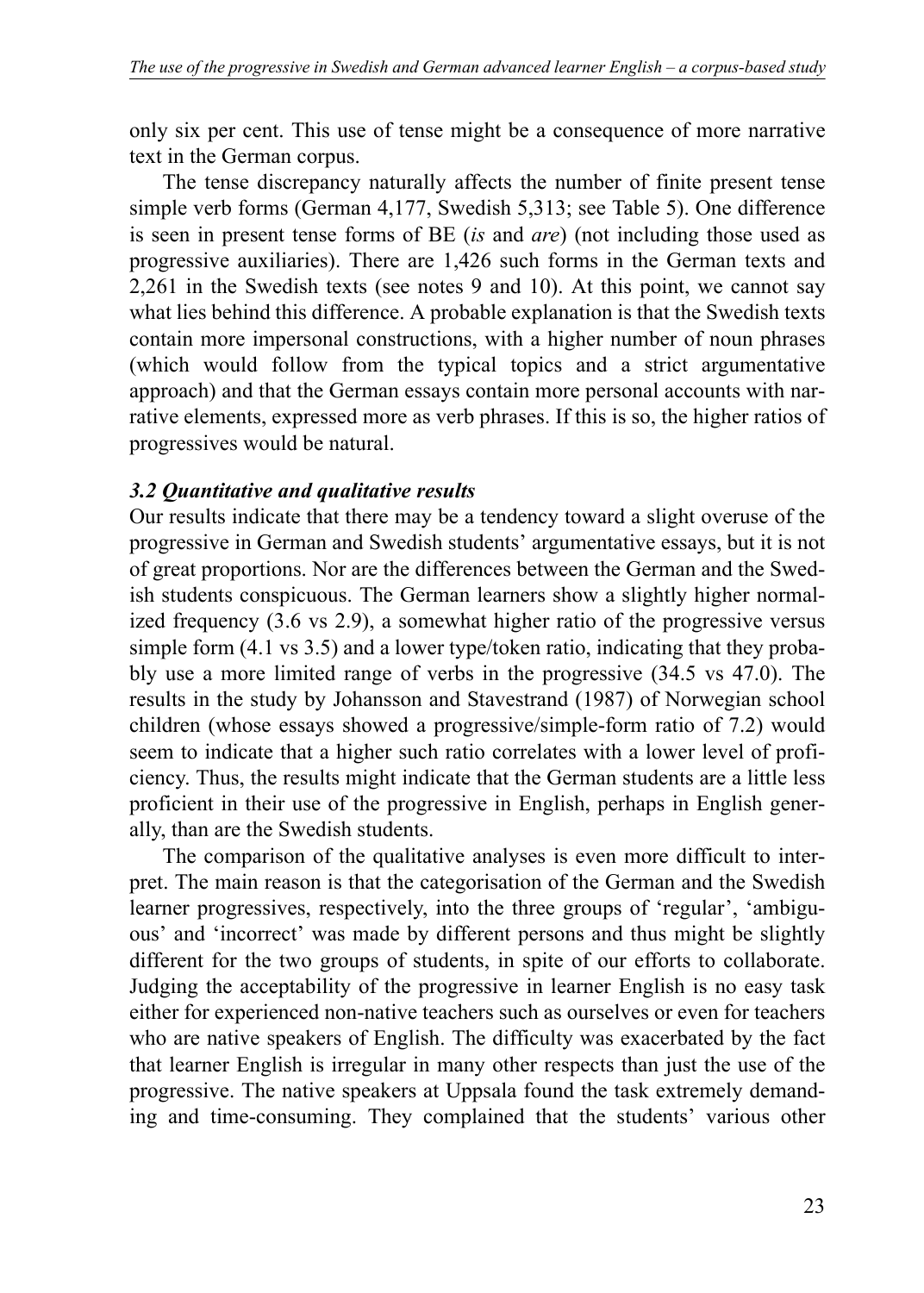only six per cent. This use of tense might be a consequence of more narrative text in the German corpus.

The tense discrepancy naturally affects the number of finite present tense simple verb forms (German 4,177, Swedish 5,313; see Table 5). One difference is seen in present tense forms of BE (*is* and *are*) (not including those used as progressive auxiliaries). There are 1,426 such forms in the German texts and 2,261 in the Swedish texts (see notes 9 and 10). At this point, we cannot say what lies behind this difference. A probable explanation is that the Swedish texts contain more impersonal constructions, with a higher number of noun phrases (which would follow from the typical topics and a strict argumentative approach) and that the German essays contain more personal accounts with narrative elements, expressed more as verb phrases. If this is so, the higher ratios of progressives would be natural.

### *3.2 Quantitative and qualitative results*

Our results indicate that there may be a tendency toward a slight overuse of the progressive in German and Swedish students' argumentative essays, but it is not of great proportions. Nor are the differences between the German and the Swedish students conspicuous. The German learners show a slightly higher normalized frequency (3.6 vs 2.9), a somewhat higher ratio of the progressive versus simple form (4.1 vs 3.5) and a lower type/token ratio, indicating that they probably use a more limited range of verbs in the progressive (34.5 vs 47.0). The results in the study by Johansson and Stavestrand (1987) of Norwegian school children (whose essays showed a progressive/simple-form ratio of 7.2) would seem to indicate that a higher such ratio correlates with a lower level of proficiency. Thus, the results might indicate that the German students are a little less proficient in their use of the progressive in English, perhaps in English generally, than are the Swedish students.

The comparison of the qualitative analyses is even more difficult to interpret. The main reason is that the categorisation of the German and the Swedish learner progressives, respectively, into the three groups of 'regular', 'ambiguous' and 'incorrect' was made by different persons and thus might be slightly different for the two groups of students, in spite of our efforts to collaborate. Judging the acceptability of the progressive in learner English is no easy task either for experienced non-native teachers such as ourselves or even for teachers who are native speakers of English. The difficulty was exacerbated by the fact that learner English is irregular in many other respects than just the use of the progressive. The native speakers at Uppsala found the task extremely demanding and time-consuming. They complained that the students' various other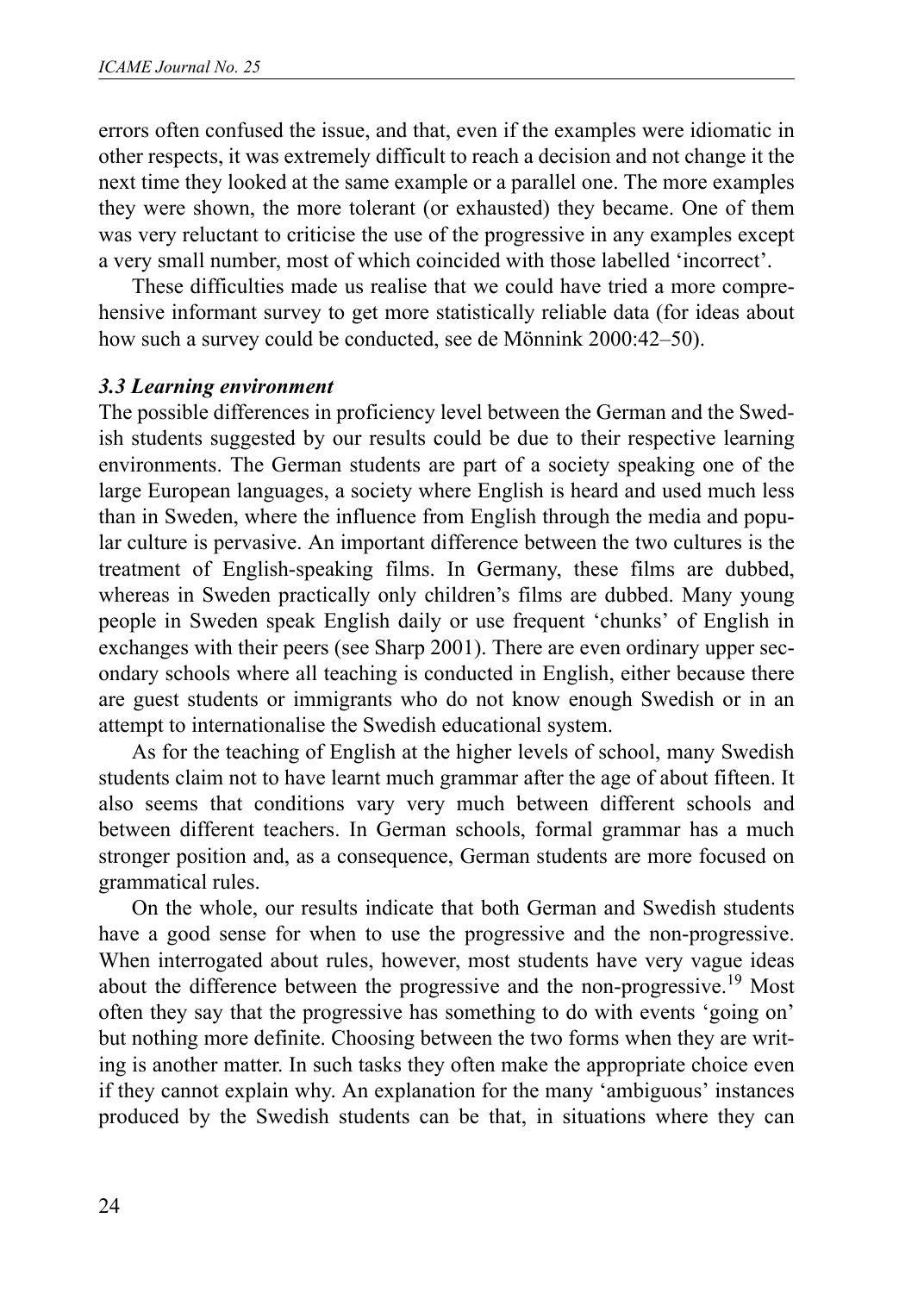errors often confused the issue, and that, even if the examples were idiomatic in other respects, it was extremely difficult to reach a decision and not change it the next time they looked at the same example or a parallel one. The more examples they were shown, the more tolerant (or exhausted) they became. One of them was very reluctant to criticise the use of the progressive in any examples except a very small number, most of which coincided with those labelled 'incorrect'.

These difficulties made us realise that we could have tried a more comprehensive informant survey to get more statistically reliable data (for ideas about how such a survey could be conducted, see de Mönnink 2000:42–50).

### *3.3 Learning environment*

The possible differences in proficiency level between the German and the Swedish students suggested by our results could be due to their respective learning environments. The German students are part of a society speaking one of the large European languages, a society where English is heard and used much less than in Sweden, where the influence from English through the media and popular culture is pervasive. An important difference between the two cultures is the treatment of English-speaking films. In Germany, these films are dubbed, whereas in Sweden practically only children's films are dubbed. Many young people in Sweden speak English daily or use frequent 'chunks' of English in exchanges with their peers (see Sharp 2001). There are even ordinary upper secondary schools where all teaching is conducted in English, either because there are guest students or immigrants who do not know enough Swedish or in an attempt to internationalise the Swedish educational system.

As for the teaching of English at the higher levels of school, many Swedish students claim not to have learnt much grammar after the age of about fifteen. It also seems that conditions vary very much between different schools and between different teachers. In German schools, formal grammar has a much stronger position and, as a consequence, German students are more focused on grammatical rules.

On the whole, our results indicate that both German and Swedish students have a good sense for when to use the progressive and the non-progressive. When interrogated about rules, however, most students have very vague ideas about the difference between the progressive and the non-progressive.<sup>19</sup> Most often they say that the progressive has something to do with events 'going on' but nothing more definite. Choosing between the two forms when they are writing is another matter. In such tasks they often make the appropriate choice even if they cannot explain why. An explanation for the many 'ambiguous' instances produced by the Swedish students can be that, in situations where they can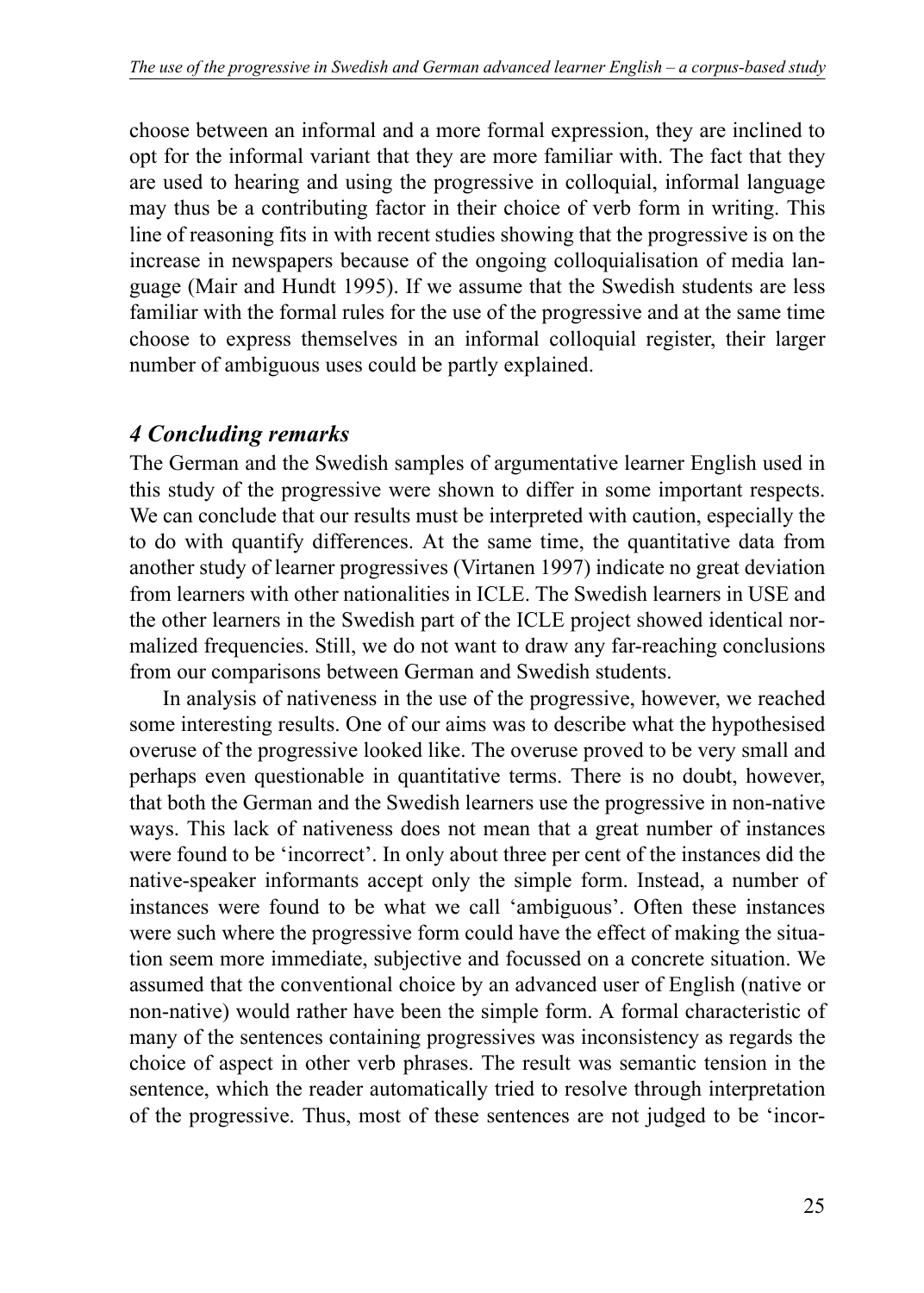choose between an informal and a more formal expression, they are inclined to opt for the informal variant that they are more familiar with. The fact that they are used to hearing and using the progressive in colloquial, informal language may thus be a contributing factor in their choice of verb form in writing. This line of reasoning fits in with recent studies showing that the progressive is on the increase in newspapers because of the ongoing colloquialisation of media language (Mair and Hundt 1995). If we assume that the Swedish students are less familiar with the formal rules for the use of the progressive and at the same time choose to express themselves in an informal colloquial register, their larger number of ambiguous uses could be partly explained.

# *4 Concluding remarks*

The German and the Swedish samples of argumentative learner English used in this study of the progressive were shown to differ in some important respects. We can conclude that our results must be interpreted with caution, especially the to do with quantify differences. At the same time, the quantitative data from another study of learner progressives (Virtanen 1997) indicate no great deviation from learners with other nationalities in ICLE. The Swedish learners in USE and the other learners in the Swedish part of the ICLE project showed identical normalized frequencies. Still, we do not want to draw any far-reaching conclusions from our comparisons between German and Swedish students.

In analysis of nativeness in the use of the progressive, however, we reached some interesting results. One of our aims was to describe what the hypothesised overuse of the progressive looked like. The overuse proved to be very small and perhaps even questionable in quantitative terms. There is no doubt, however, that both the German and the Swedish learners use the progressive in non-native ways. This lack of nativeness does not mean that a great number of instances were found to be 'incorrect'. In only about three per cent of the instances did the native-speaker informants accept only the simple form. Instead, a number of instances were found to be what we call 'ambiguous'. Often these instances were such where the progressive form could have the effect of making the situation seem more immediate, subjective and focussed on a concrete situation. We assumed that the conventional choice by an advanced user of English (native or non-native) would rather have been the simple form. A formal characteristic of many of the sentences containing progressives was inconsistency as regards the choice of aspect in other verb phrases. The result was semantic tension in the sentence, which the reader automatically tried to resolve through interpretation of the progressive. Thus, most of these sentences are not judged to be 'incor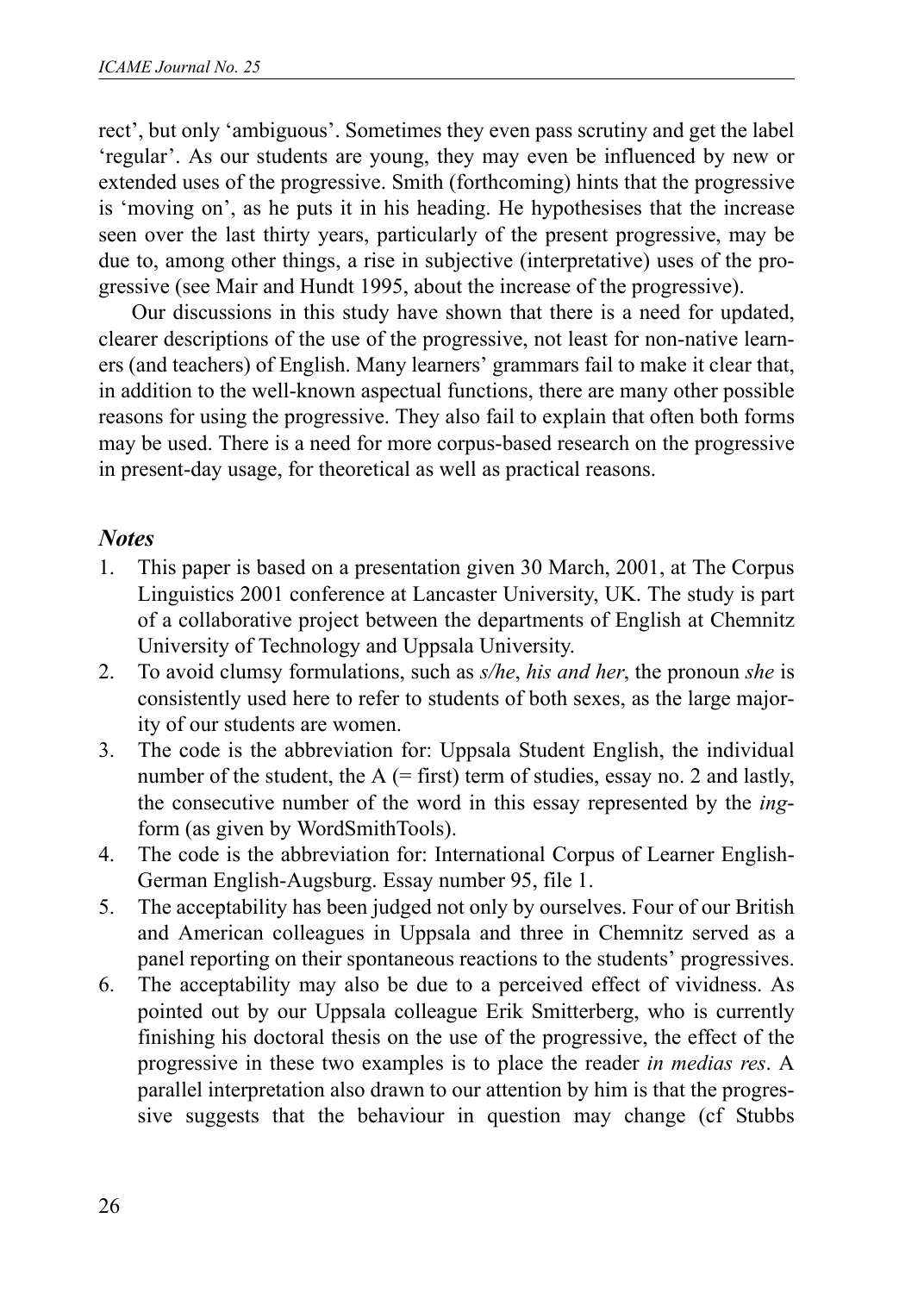rect', but only 'ambiguous'. Sometimes they even pass scrutiny and get the label 'regular'. As our students are young, they may even be influenced by new or extended uses of the progressive. Smith (forthcoming) hints that the progressive is 'moving on', as he puts it in his heading. He hypothesises that the increase seen over the last thirty years, particularly of the present progressive, may be due to, among other things, a rise in subjective (interpretative) uses of the progressive (see Mair and Hundt 1995, about the increase of the progressive).

Our discussions in this study have shown that there is a need for updated, clearer descriptions of the use of the progressive, not least for non-native learners (and teachers) of English. Many learners' grammars fail to make it clear that, in addition to the well-known aspectual functions, there are many other possible reasons for using the progressive. They also fail to explain that often both forms may be used. There is a need for more corpus-based research on the progressive in present-day usage, for theoretical as well as practical reasons.

### *Notes*

- 1. This paper is based on a presentation given 30 March, 2001, at The Corpus Linguistics 2001 conference at Lancaster University, UK. The study is part of a collaborative project between the departments of English at Chemnitz University of Technology and Uppsala University.
- 2. To avoid clumsy formulations, such as *s/he*, *his and her*, the pronoun *she* is consistently used here to refer to students of both sexes, as the large majority of our students are women.
- 3. The code is the abbreviation for: Uppsala Student English, the individual number of the student, the  $A$  (= first) term of studies, essay no. 2 and lastly, the consecutive number of the word in this essay represented by the *ing*form (as given by WordSmithTools).
- 4. The code is the abbreviation for: International Corpus of Learner English-German English-Augsburg. Essay number 95, file 1.
- 5. The acceptability has been judged not only by ourselves. Four of our British and American colleagues in Uppsala and three in Chemnitz served as a panel reporting on their spontaneous reactions to the students' progressives.
- 6. The acceptability may also be due to a perceived effect of vividness. As pointed out by our Uppsala colleague Erik Smitterberg, who is currently finishing his doctoral thesis on the use of the progressive, the effect of the progressive in these two examples is to place the reader *in medias res*. A parallel interpretation also drawn to our attention by him is that the progressive suggests that the behaviour in question may change (cf Stubbs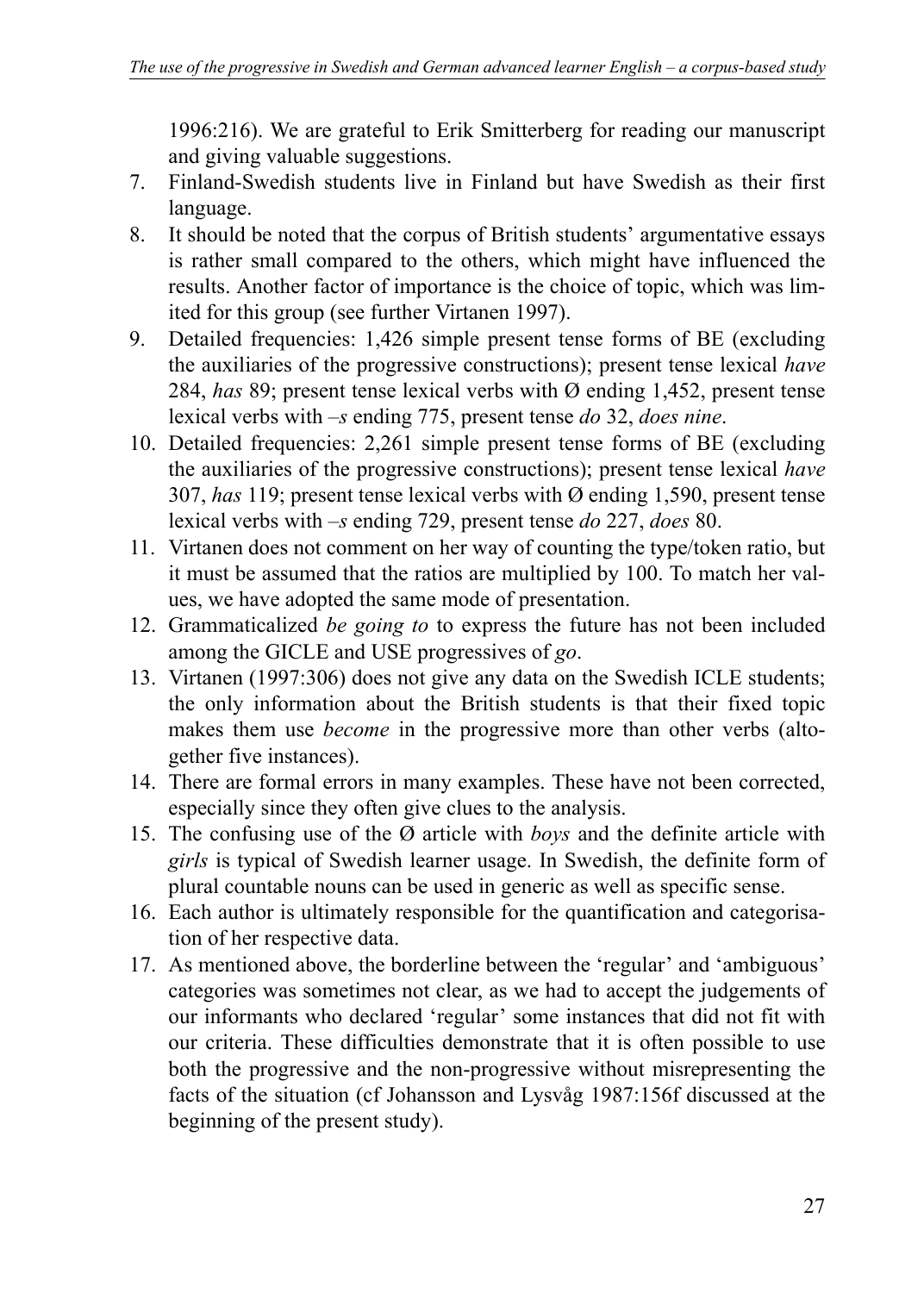1996:216). We are grateful to Erik Smitterberg for reading our manuscript and giving valuable suggestions.

- 7. Finland-Swedish students live in Finland but have Swedish as their first language.
- 8. It should be noted that the corpus of British students' argumentative essays is rather small compared to the others, which might have influenced the results. Another factor of importance is the choice of topic, which was limited for this group (see further Virtanen 1997).
- 9. Detailed frequencies: 1,426 simple present tense forms of BE (excluding the auxiliaries of the progressive constructions); present tense lexical *have* 284, *has* 89; present tense lexical verbs with Ø ending 1,452, present tense lexical verbs with –*s* ending 775, present tense *do* 32, *does nine*.
- 10. Detailed frequencies: 2,261 simple present tense forms of BE (excluding the auxiliaries of the progressive constructions); present tense lexical *have* 307, *has* 119; present tense lexical verbs with Ø ending 1,590, present tense lexical verbs with –*s* ending 729, present tense *do* 227, *does* 80.
- 11. Virtanen does not comment on her way of counting the type/token ratio, but it must be assumed that the ratios are multiplied by 100. To match her values, we have adopted the same mode of presentation.
- 12. Grammaticalized *be going to* to express the future has not been included among the GICLE and USE progressives of *go*.
- 13. Virtanen (1997:306) does not give any data on the Swedish ICLE students; the only information about the British students is that their fixed topic makes them use *become* in the progressive more than other verbs (altogether five instances).
- 14. There are formal errors in many examples. These have not been corrected, especially since they often give clues to the analysis.
- 15. The confusing use of the Ø article with *boys* and the definite article with *girls* is typical of Swedish learner usage. In Swedish, the definite form of plural countable nouns can be used in generic as well as specific sense.
- 16. Each author is ultimately responsible for the quantification and categorisation of her respective data.
- 17. As mentioned above, the borderline between the 'regular' and 'ambiguous' categories was sometimes not clear, as we had to accept the judgements of our informants who declared 'regular' some instances that did not fit with our criteria. These difficulties demonstrate that it is often possible to use both the progressive and the non-progressive without misrepresenting the facts of the situation (cf Johansson and Lysvåg 1987:156f discussed at the beginning of the present study).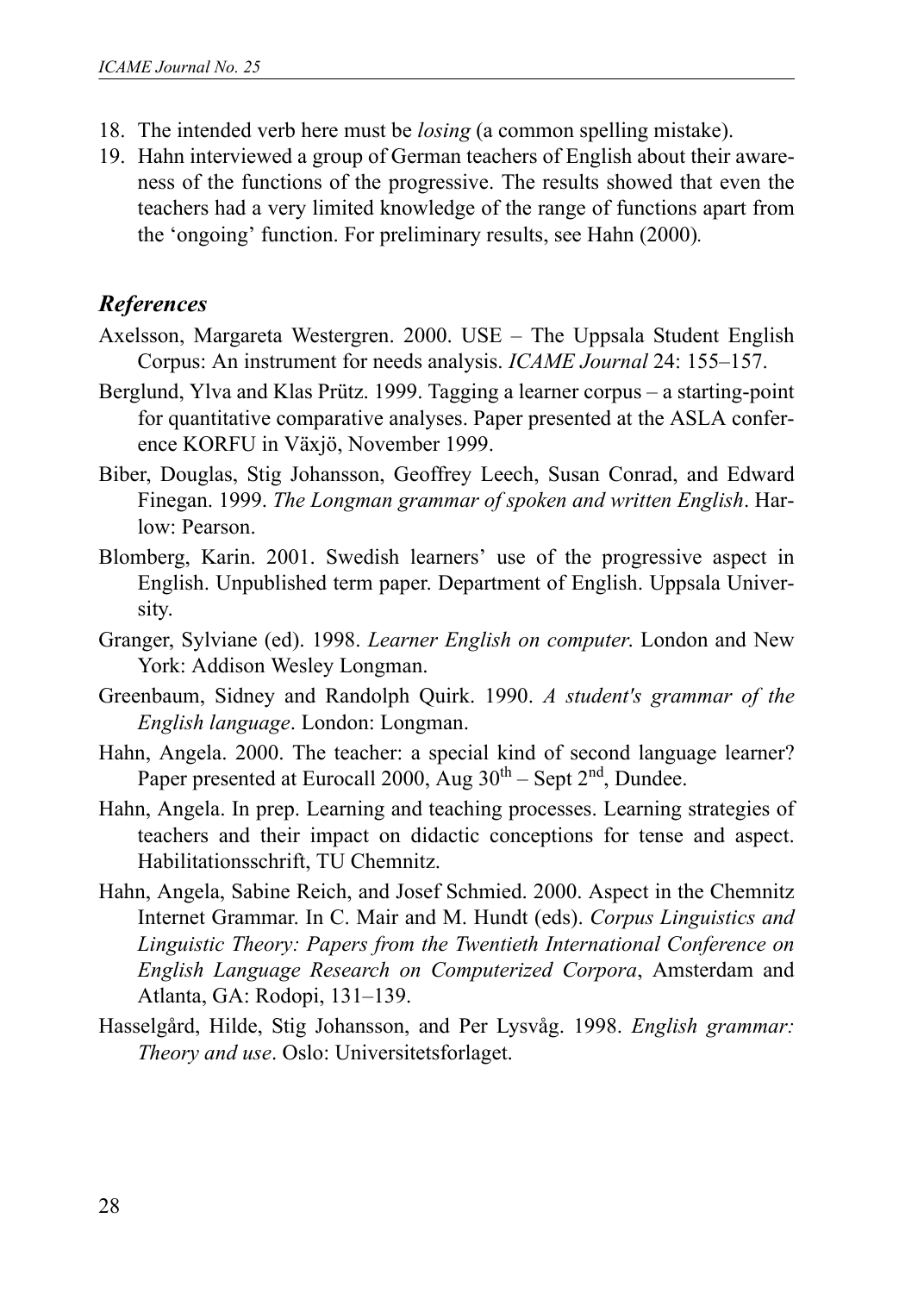- 18. The intended verb here must be *losing* (a common spelling mistake).
- 19. Hahn interviewed a group of German teachers of English about their awareness of the functions of the progressive. The results showed that even the teachers had a very limited knowledge of the range of functions apart from the 'ongoing' function. For preliminary results, see Hahn (2000)*.*

# *References*

- Axelsson, Margareta Westergren. 2000. USE The Uppsala Student English Corpus: An instrument for needs analysis. *ICAME Journal* 24: 155–157.
- Berglund, Ylva and Klas Prütz. 1999. Tagging a learner corpus a starting-point for quantitative comparative analyses. Paper presented at the ASLA conference KORFU in Växjö, November 1999.
- Biber, Douglas, Stig Johansson, Geoffrey Leech, Susan Conrad, and Edward Finegan. 1999. *The Longman grammar of spoken and written English*. Harlow: Pearson.
- Blomberg, Karin. 2001. Swedish learners' use of the progressive aspect in English. Unpublished term paper. Department of English. Uppsala University.
- Granger, Sylviane (ed). 1998. *Learner English on computer*. London and New York: Addison Wesley Longman.
- Greenbaum, Sidney and Randolph Quirk. 1990. *A student's grammar of the English language*. London: Longman.
- Hahn, Angela. 2000. The teacher: a special kind of second language learner? Paper presented at Eurocall 2000, Aug 30<sup>th</sup> – Sept 2<sup>nd</sup>, Dundee.
- Hahn, Angela. In prep. Learning and teaching processes. Learning strategies of teachers and their impact on didactic conceptions for tense and aspect. Habilitationsschrift, TU Chemnitz.
- Hahn, Angela, Sabine Reich, and Josef Schmied. 2000. Aspect in the Chemnitz Internet Grammar. In C. Mair and M. Hundt (eds). *Corpus Linguistics and Linguistic Theory: Papers from the Twentieth International Conference on English Language Research on Computerized Corpora*, Amsterdam and Atlanta, GA: Rodopi, 131–139.
- Hasselgård, Hilde, Stig Johansson, and Per Lysvåg. 1998. *English grammar: Theory and use*. Oslo: Universitetsforlaget.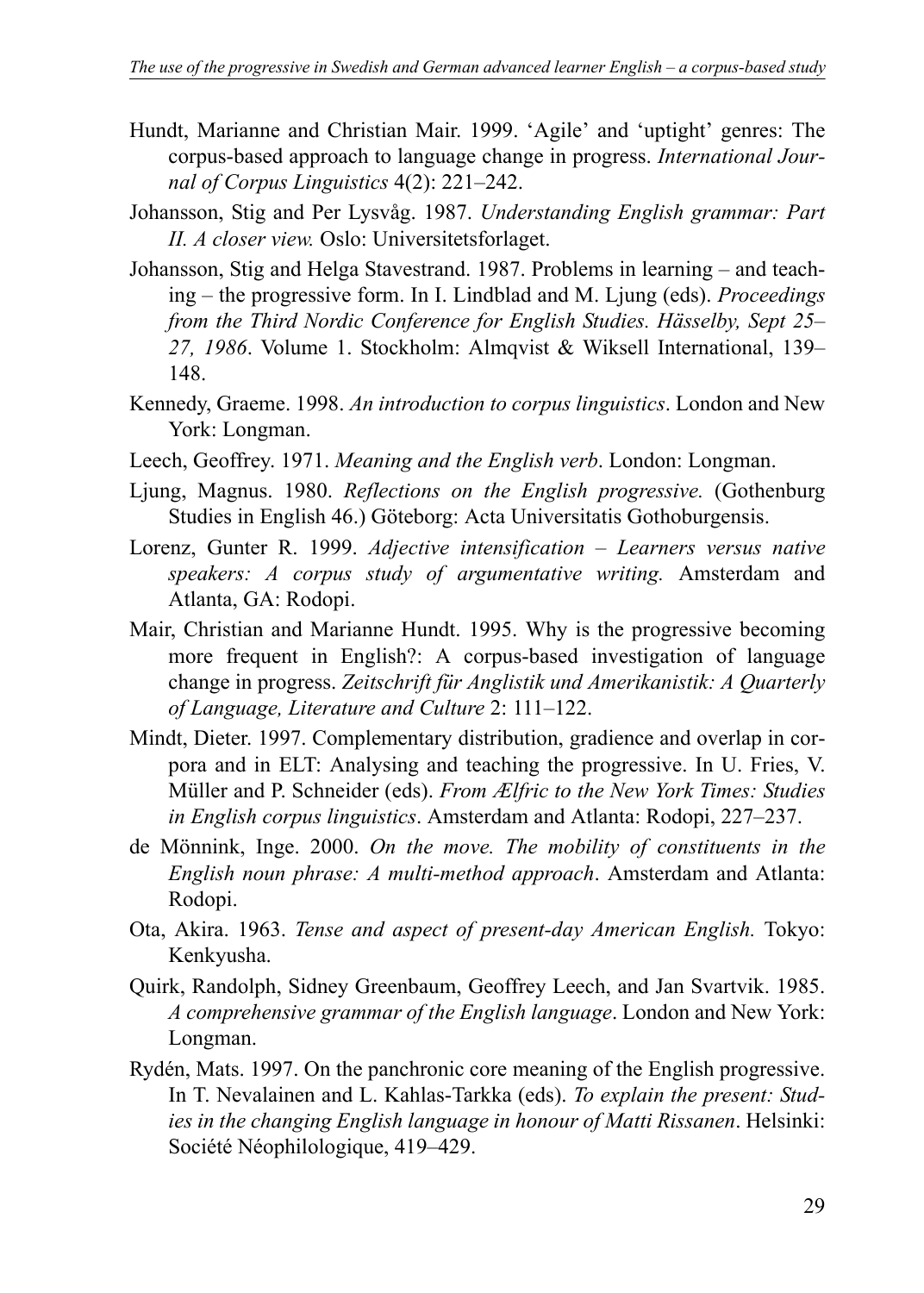- Hundt, Marianne and Christian Mair. 1999. 'Agile' and 'uptight' genres: The corpus-based approach to language change in progress. *International Journal of Corpus Linguistics* 4(2): 221–242.
- Johansson, Stig and Per Lysvåg. 1987. *Understanding English grammar: Part II. A closer view.* Oslo: Universitetsforlaget.
- Johansson, Stig and Helga Stavestrand. 1987. Problems in learning and teaching – the progressive form. In I. Lindblad and M. Ljung (eds). *Proceedings from the Third Nordic Conference for English Studies. Hässelby, Sept 25– 27, 1986*. Volume 1. Stockholm: Almqvist & Wiksell International, 139– 148.
- Kennedy, Graeme. 1998. *An introduction to corpus linguistics*. London and New York: Longman.
- Leech, Geoffrey. 1971. *Meaning and the English verb*. London: Longman.
- Ljung, Magnus. 1980. *Reflections on the English progressive.* (Gothenburg Studies in English 46.) Göteborg: Acta Universitatis Gothoburgensis.
- Lorenz, Gunter R. 1999. *Adjective intensification Learners versus native speakers: A corpus study of argumentative writing.* Amsterdam and Atlanta, GA: Rodopi.
- Mair, Christian and Marianne Hundt. 1995. Why is the progressive becoming more frequent in English?: A corpus-based investigation of language change in progress. *Zeitschrift für Anglistik und Amerikanistik: A Quarterly of Language, Literature and Culture* 2: 111–122.
- Mindt, Dieter. 1997. Complementary distribution, gradience and overlap in corpora and in ELT: Analysing and teaching the progressive. In U. Fries, V. Müller and P. Schneider (eds). *From Ælfric to the New York Times: Studies in English corpus linguistics*. Amsterdam and Atlanta: Rodopi, 227–237.
- de Mönnink, Inge. 2000. *On the move. The mobility of constituents in the English noun phrase: A multi-method approach*. Amsterdam and Atlanta: Rodopi.
- Ota, Akira. 1963. *Tense and aspect of present-day American English.* Tokyo: Kenkyusha.
- Quirk, Randolph, Sidney Greenbaum, Geoffrey Leech, and Jan Svartvik. 1985. *A comprehensive grammar of the English language*. London and New York: Longman.
- Rydén, Mats. 1997. On the panchronic core meaning of the English progressive. In T. Nevalainen and L. Kahlas-Tarkka (eds). *To explain the present: Studies in the changing English language in honour of Matti Rissanen*. Helsinki: Société Néophilologique, 419–429.